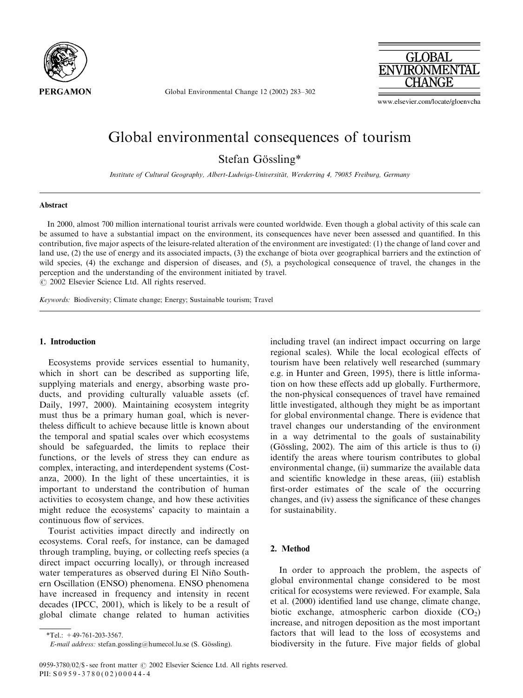

Global Environmental Change 12 (2002) 283–302



www.elsevier.com/locate/gloenvcha

# Global environmental consequences of tourism

Stefan Gössling\*

Institute of Cultural Geography, Albert-Ludwigs-Universitat, Werderring 4, 79085 Freiburg, Germany .

#### Abstract

In 2000, almost 700 million international tourist arrivals were counted worldwide. Even though a global activity of this scale can be assumed to have a substantial impact on the environment, its consequences have never been assessed and quantified. In this contribution, five major aspects of the leisure-related alteration of the environment are investigated: (1) the change of land cover and land use, (2) the use of energy and its associated impacts, (3) the exchange of biota over geographical barriers and the extinction of wild species, (4) the exchange and dispersion of diseases, and (5), a psychological consequence of travel, the changes in the perception and the understanding of the environment initiated by travel.  $O$  2002 Elsevier Science Ltd. All rights reserved.

Keywords: Biodiversity; Climate change; Energy; Sustainable tourism; Travel

#### 1. Introduction

Ecosystems provide services essential to humanity, which in short can be described as supporting life, supplying materials and energy, absorbing waste products, and providing culturally valuable assets (cf. Daily, 1997, 2000). Maintaining ecosystem integrity must thus be a primary human goal, which is nevertheless difficult to achieve because little is known about the temporal and spatial scales over which ecosystems should be safeguarded, the limits to replace their functions, or the levels of stress they can endure as complex, interacting, and interdependent systems (Costanza, 2000). In the light of these uncertainties, it is important to understand the contribution of human activities to ecosystem change, and how these activities might reduce the ecosystems' capacity to maintain a continuous flow of services.

Tourist activities impact directly and indirectly on ecosystems. Coral reefs, for instance, can be damaged through trampling, buying, or collecting reefs species (a direct impact occurring locally), or through increased water temperatures as observed during El Niño Southern Oscillation (ENSO) phenomena. ENSO phenomena have increased in frequency and intensity in recent decades (IPCC, 2001), which is likely to be a result of global climate change related to human activities including travel (an indirect impact occurring on large regional scales). While the local ecological effects of tourism have been relatively well researched (summary e.g. in Hunter and Green, 1995), there is little information on how these effects add up globally. Furthermore, the non-physical consequences of travel have remained little investigated, although they might be as important for global environmental change. There is evidence that travel changes our understanding of the environment in a way detrimental to the goals of sustainability (Gössling, 2002). The aim of this article is thus to  $(i)$ identify the areas where tourism contributes to global environmental change, (ii) summarize the available data and scientific knowledge in these areas, (iii) establish first-order estimates of the scale of the occurring changes, and (iv) assess the significance of these changes for sustainability.

## 2. Method

In order to approach the problem, the aspects of global environmental change considered to be most critical for ecosystems were reviewed. For example, Sala et al. (2000) identified land use change, climate change, biotic exchange, atmospheric carbon dioxide  $(CO<sub>2</sub>)$ increase, and nitrogen deposition as the most important factors that will lead to the loss of ecosystems and biodiversity in the future. Five major fields of global

 $*Tel.: +49-761-203-3567.$ 

E-mail address: stefan.gossling@humecol.lu.se (S. Gössling).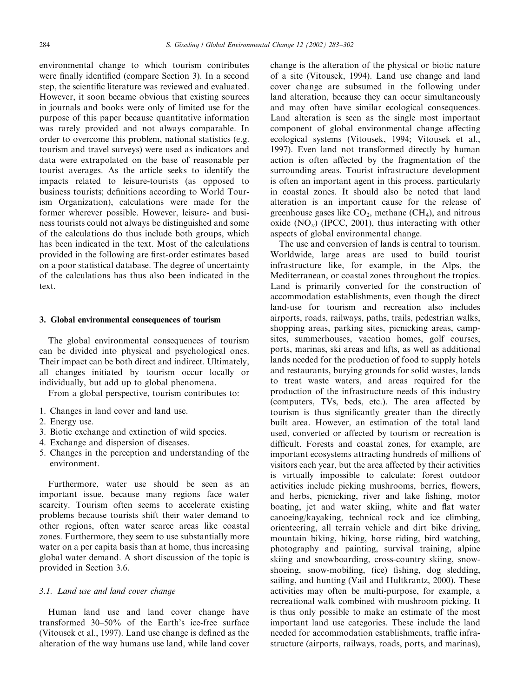environmental change to which tourism contributes were finally identified (compare Section 3). In a second step, the scientific literature was reviewed and evaluated. However, it soon became obvious that existing sources in journals and books were only of limited use for the purpose of this paper because quantitative information was rarely provided and not always comparable. In order to overcome this problem, national statistics (e.g. tourism and travel surveys) were used as indicators and data were extrapolated on the base of reasonable per tourist averages. As the article seeks to identify the impacts related to leisure-tourists (as opposed to business tourists; definitions according to World Tourism Organization), calculations were made for the former wherever possible. However, leisure- and business tourists could not always be distinguished and some of the calculations do thus include both groups, which has been indicated in the text. Most of the calculations provided in the following are first-order estimates based on a poor statistical database. The degree of uncertainty of the calculations has thus also been indicated in the text.

#### 3. Global environmental consequences of tourism

The global environmental consequences of tourism can be divided into physical and psychological ones. Their impact can be both direct and indirect. Ultimately, all changes initiated by tourism occur locally or individually, but add up to global phenomena.

From a global perspective, tourism contributes to:

- 1. Changes in land cover and land use.
- 2. Energy use.
- 3. Biotic exchange and extinction of wild species.
- 4. Exchange and dispersion of diseases.
- 5. Changes in the perception and understanding of the environment.

Furthermore, water use should be seen as an important issue, because many regions face water scarcity. Tourism often seems to accelerate existing problems because tourists shift their water demand to other regions, often water scarce areas like coastal zones. Furthermore, they seem to use substantially more water on a per capita basis than at home, thus increasing global water demand. A short discussion of the topic is provided in Section 3.6.

## 3.1. Land use and land cover change

Human land use and land cover change have transformed 30–50% of the Earth's ice-free surface (Vitousek et al., 1997). Land use change is defined as the alteration of the way humans use land, while land cover change is the alteration of the physical or biotic nature of a site (Vitousek, 1994). Land use change and land cover change are subsumed in the following under land alteration, because they can occur simultaneously and may often have similar ecological consequences. Land alteration is seen as the single most important component of global environmental change affecting ecological systems (Vitousek, 1994; Vitousek et al., 1997). Even land not transformed directly by human action is often affected by the fragmentation of the surrounding areas. Tourist infrastructure development is often an important agent in this process, particularly in coastal zones. It should also be noted that land alteration is an important cause for the release of greenhouse gases like  $CO<sub>2</sub>$ , methane (CH<sub>4</sub>), and nitrous oxide  $(NO_x)$  (IPCC, 2001), thus interacting with other aspects of global environmental change.

The use and conversion of lands is central to tourism. Worldwide, large areas are used to build tourist infrastructure like, for example, in the Alps, the Mediterranean, or coastal zones throughout the tropics. Land is primarily converted for the construction of accommodation establishments, even though the direct land-use for tourism and recreation also includes airports, roads, railways, paths, trails, pedestrian walks, shopping areas, parking sites, picnicking areas, campsites, summerhouses, vacation homes, golf courses, ports, marinas, ski areas and lifts, as well as additional lands needed for the production of food to supply hotels and restaurants, burying grounds for solid wastes, lands to treat waste waters, and areas required for the production of the infrastructure needs of this industry (computers, TVs, beds, etc.). The area affected by tourism is thus significantly greater than the directly built area. However, an estimation of the total land used, converted or affected by tourism or recreation is difficult. Forests and coastal zones, for example, are important ecosystems attracting hundreds of millions of visitors each year, but the area affected by their activities is virtually impossible to calculate: forest outdoor activities include picking mushrooms, berries, flowers, and herbs, picnicking, river and lake fishing, motor boating, jet and water skiing, white and flat water canoeing/kayaking, technical rock and ice climbing, orienteering, all terrain vehicle and dirt bike driving, mountain biking, hiking, horse riding, bird watching, photography and painting, survival training, alpine skiing and snowboarding, cross-country skiing, snowshoeing, snow-mobiling, (ice) fishing, dog sledding, sailing, and hunting (Vail and Hultkrantz, 2000). These activities may often be multi-purpose, for example, a recreational walk combined with mushroom picking. It is thus only possible to make an estimate of the most important land use categories. These include the land needed for accommodation establishments, traffic infrastructure (airports, railways, roads, ports, and marinas),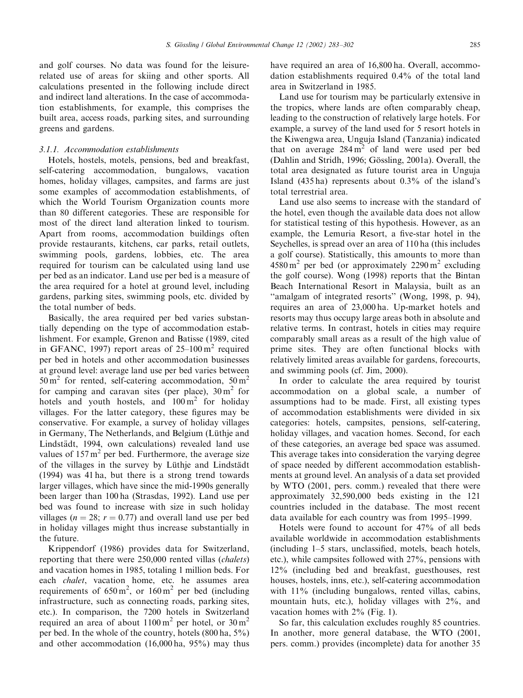and golf courses. No data was found for the leisurerelated use of areas for skiing and other sports. All calculations presented in the following include direct and indirect land alterations. In the case of accommodation establishments, for example, this comprises the built area, access roads, parking sites, and surrounding greens and gardens.

#### 3.1.1. Accommodation establishments

Hotels, hostels, motels, pensions, bed and breakfast, self-catering accommodation, bungalows, vacation homes, holiday villages, campsites, and farms are just some examples of accommodation establishments, of which the World Tourism Organization counts more than 80 different categories. These are responsible for most of the direct land alteration linked to tourism. Apart from rooms, accommodation buildings often provide restaurants, kitchens, car parks, retail outlets, swimming pools, gardens, lobbies, etc. The area required for tourism can be calculated using land use per bed as an indicator. Land use per bed is a measure of the area required for a hotel at ground level, including gardens, parking sites, swimming pools, etc. divided by the total number of beds.

Basically, the area required per bed varies substantially depending on the type of accommodation establishment. For example, Grenon and Batisse (1989, cited in GFANC, 1997) report areas of  $25-100 \text{ m}^2$  required per bed in hotels and other accommodation businesses at ground level: average land use per bed varies between  $50 \text{ m}^2$  for rented, self-catering accommodation,  $50 \text{ m}^2$ for camping and caravan sites (per place),  $30 \text{ m}^2$  for hotels and youth hostels, and  $100 \text{ m}^2$  for holiday villages. For the latter category, these figures may be conservative. For example, a survey of holiday villages in Germany, The Netherlands, and Belgium (Lüthje and Lindstädt, 1994, own calculations) revealed land use values of  $157 \text{ m}^2$  per bed. Furthermore, the average size of the villages in the survey by Lüthje and Lindstädt (1994) was 41 ha, but there is a strong trend towards larger villages, which have since the mid-1990s generally been larger than 100 ha (Strasdas, 1992). Land use per bed was found to increase with size in such holiday villages ( $n = 28$ ;  $r = 0.77$ ) and overall land use per bed in holiday villages might thus increase substantially in the future.

Krippendorf (1986) provides data for Switzerland, reporting that there were 250,000 rented villas (chalets) and vacation homes in 1985, totaling 1 million beds. For each chalet, vacation home, etc. he assumes area requirements of  $650 \text{ m}^2$ , or  $160 \text{ m}^2$  per bed (including infrastructure, such as connecting roads, parking sites, etc.). In comparison, the 7200 hotels in Switzerland required an area of about  $1100 \text{ m}^2$  per hotel, or  $30 \text{ m}^2$ per bed. In the whole of the country, hotels (800 ha, 5%) and other accommodation (16,000 ha, 95%) may thus have required an area of 16,800 ha. Overall, accommodation establishments required 0.4% of the total land area in Switzerland in 1985.

Land use for tourism may be particularly extensive in the tropics, where lands are often comparably cheap, leading to the construction of relatively large hotels. For example, a survey of the land used for 5 resort hotels in the Kiwengwa area, Unguja Island (Tanzania) indicated that on average  $284 \text{ m}^2$  of land were used per bed  $(Dahlin and Stridh, 1996; Gösling, 2001a)$ . Overall, the total area designated as future tourist area in Unguja Island (435 ha) represents about 0.3% of the island's total terrestrial area.

Land use also seems to increase with the standard of the hotel, even though the available data does not allow for statistical testing of this hypothesis. However, as an example, the Lemuria Resort, a five-star hotel in the Seychelles, is spread over an area of 110 ha (this includes a golf course). Statistically, this amounts to more than  $4580 \text{ m}^2$  per bed (or approximately  $2290 \text{ m}^2$  excluding the golf course). Wong (1998) reports that the Bintan Beach International Resort in Malaysia, built as an "amalgam of integrated resorts" (Wong, 1998, p. 94), requires an area of 23,000 ha. Up-market hotels and resorts may thus occupy large areas both in absolute and relative terms. In contrast, hotels in cities may require comparably small areas as a result of the high value of prime sites. They are often functional blocks with relatively limited areas available for gardens, forecourts, and swimming pools (cf. Jim, 2000).

In order to calculate the area required by tourist accommodation on a global scale, a number of assumptions had to be made. First, all existing types of accommodation establishments were divided in six categories: hotels, campsites, pensions, self-catering, holiday villages, and vacation homes. Second, for each of these categories, an average bed space was assumed. This average takes into consideration the varying degree of space needed by different accommodation establishments at ground level. An analysis of a data set provided by WTO (2001, pers. comm.) revealed that there were approximately 32,590,000 beds existing in the 121 countries included in the database. The most recent data available for each country was from 1995–1999.

Hotels were found to account for 47% of all beds available worldwide in accommodation establishments (including 1–5 stars, unclassified, motels, beach hotels, etc.), while campsites followed with 27%, pensions with 12% (including bed and breakfast, guesthouses, rest houses, hostels, inns, etc.), self-catering accommodation with  $11\%$  (including bungalows, rented villas, cabins, mountain huts, etc.), holiday villages with 2%, and vacation homes with 2% (Fig. 1).

So far, this calculation excludes roughly 85 countries. In another, more general database, the WTO (2001, pers. comm.) provides (incomplete) data for another 35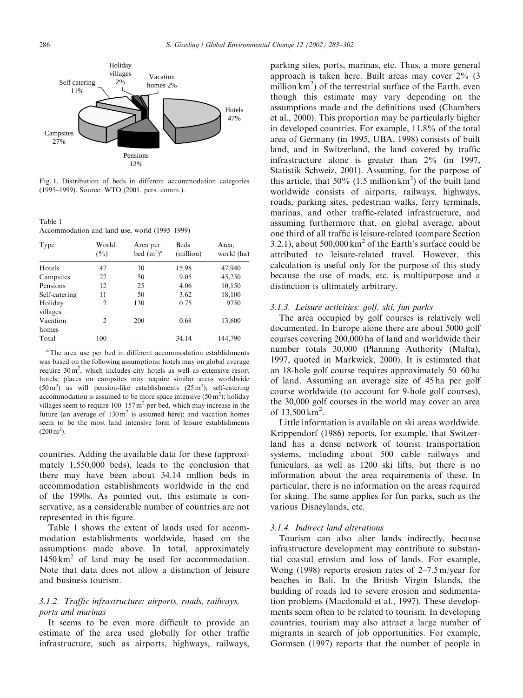

Fig. 1. Distribution of beds in different accommodation categories (1995–1999). Source: WTO (2001, pers. comm.).

Table 1 Accommodation and land use, world (1995–1999)

| Type                | World<br>$(\%)$ | Area per<br>bed $(m^2)^a$ | <b>Beds</b><br>(million) | Area,<br>world (ha) |
|---------------------|-----------------|---------------------------|--------------------------|---------------------|
| Hotels              | 47              | 30                        | 15.98                    | 47,940              |
| Campsites           | 27              | 50                        | 9.05                     | 45,250              |
| Pensions            | 12              | 25                        | 4.06                     | 10,150              |
| Self-catering       | 11              | 50                        | 3.62                     | 18,100              |
| Holiday<br>villages | $\overline{2}$  | 130                       | 0.75                     | 9750                |
| Vacation<br>homes   | 2               | 200                       | 0.68                     | 13,600              |
| Total               | 100             |                           | 34.14                    | 144,790             |

aThe area use per bed in different accommodation establishments was based on the following assumptions: hotels may on global average require  $30 \text{ m}^2$ , which includes city hotels as well as extensive resort hotels; places on campsites may require similar areas worldwide  $(50 \text{ m}^2)$  as will pension-like establishments  $(25 \text{ m}^2)$ ; self-catering accommodation is assumed to be more space intensive  $(50 \text{ m}^2)$ ; holiday villages seem to require  $100-157$  m<sup>2</sup> per bed, which may increase in the future (an average of  $130 \text{ m}^2$  is assumed here); and vacation homes seem to be the most land intensive form of leisure establishments  $(200 \,\mathrm{m}^2)$ .

countries. Adding the available data for these (approximately 1,550,000 beds), leads to the conclusion that there may have been about 34.14 million beds in accommodation establishments worldwide in the end of the 1990s. As pointed out, this estimate is conservative, as a considerable number of countries are not represented in this figure.

Table 1 shows the extent of lands used for accommodation establishments worldwide, based on the assumptions made above. In total, approximately  $1450 \text{ km}^2$  of land may be used for accommodation. Note that data does not allow a distinction of leisure and business tourism.

# 3.1.2. Traffic infrastructure: airports, roads, railways, ports and marinas

It seems to be even more difficult to provide an estimate of the area used globally for other traffic infrastructure, such as airports, highways, railways,

parking sites, ports, marinas, etc. Thus, a more general approach is taken here. Built areas may cover 2% (3 million km<sup>2</sup>) of the terrestrial surface of the Earth, even though this estimate may vary depending on the assumptions made and the definitions used (Chambers et al., 2000). This proportion may be particularly higher in developed countries. For example, 11.8% of the total area of Germany (in 1995, UBA, 1998) consists of built land, and in Switzerland, the land covered by traffic infrastructure alone is greater than 2% (in 1997, Statistik Schweiz, 2001). Assuming, for the purpose of this article, that  $50\%$  (1.5 million km<sup>2</sup>) of the built land worldwide consists of airports, railways, highways, roads, parking sites, pedestrian walks, ferry terminals, marinas, and other traffic-related infrastructure, and assuming furthermore that, on global average, about one third of all traffic is leisure-related (compare Section 3.2.1), about  $500,000 \text{ km}^2$  of the Earth's surface could be attributed to leisure-related travel. However, this calculation is useful only for the purpose of this study because the use of roads, etc. is multipurpose and a distinction is ultimately arbitrary.

### 3.1.3. Leisure activities: golf, ski, fun parks

The area occupied by golf courses is relatively well documented. In Europe alone there are about 5000 golf courses covering 200,000 ha of land and worldwide their number totals 30,000 (Planning Authority (Malta), 1997, quoted in Markwick, 2000). It is estimated that an 18-hole golf course requires approximately 50–60 ha of land. Assuming an average size of 45 ha per golf course worldwide (to account for 9-hole golf courses), the 30,000 golf courses in the world may cover an area of  $13,500 \text{ km}^2$ .

Little information is available on ski areas worldwide. Krippendorf (1986) reports, for example, that Switzerland has a dense network of tourist transportation systems, including about 500 cable railways and funiculars, as well as 1200 ski lifts, but there is no information about the area requirements of these. In particular, there is no information on the areas required for skiing. The same applies for fun parks, such as the various Disneylands, etc.

#### 3.1.4. Indirect land alterations

Tourism can also alter lands indirectly, because infrastructure development may contribute to substantial coastal erosion and loss of lands. For example, Wong (1998) reports erosion rates of 2–7.5 m/year for beaches in Bali. In the British Virgin Islands, the building of roads led to severe erosion and sedimentation problems (Macdonald et al., 1997). These developments seem often to be related to tourism. In developing countries, tourism may also attract a large number of migrants in search of job opportunities. For example, Gormsen (1997) reports that the number of people in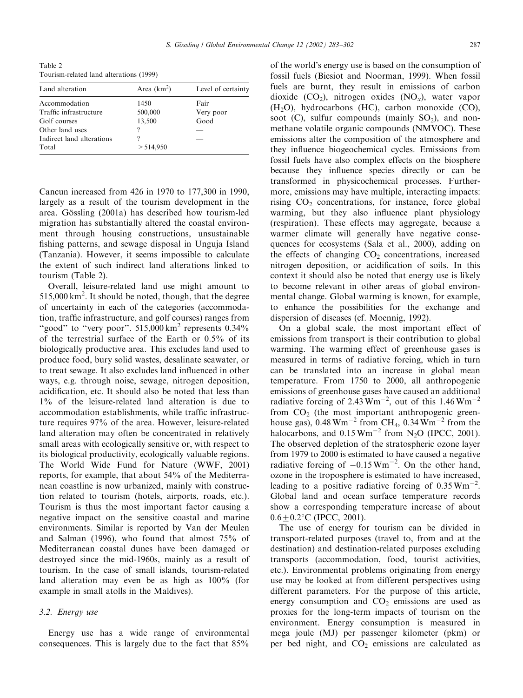Table 2 Tourism-related land alterations (1999)

| Area $(km^2)$ | Level of certainty |
|---------------|--------------------|
| 1450          | Fair               |
| 500,000       | Very poor          |
| 13,500        | Good               |
| ?             |                    |
| 9             |                    |
| > 514,950     |                    |
|               |                    |

Cancun increased from 426 in 1970 to 177,300 in 1990, largely as a result of the tourism development in the area. Gössling (2001a) has described how tourism-led migration has substantially altered the coastal environment through housing constructions, unsustainable fishing patterns, and sewage disposal in Unguja Island (Tanzania). However, it seems impossible to calculate the extent of such indirect land alterations linked to tourism (Table 2).

Overall, leisure-related land use might amount to 515,000 km<sup>2</sup>. It should be noted, though, that the degree of uncertainty in each of the categories (accommodation, traffic infrastructure, and golf courses) ranges from "good" to "very poor".  $515,000 \text{ km}^2$  represents  $0.34\%$ of the terrestrial surface of the Earth or 0.5% of its biologically productive area. This excludes land used to produce food, bury solid wastes, desalinate seawater, or to treat sewage. It also excludes land influenced in other ways, e.g. through noise, sewage, nitrogen deposition, acidification, etc. It should also be noted that less than 1% of the leisure-related land alteration is due to accommodation establishments, while traffic infrastructure requires 97% of the area. However, leisure-related land alteration may often be concentrated in relatively small areas with ecologically sensitive or, with respect to its biological productivity, ecologically valuable regions. The World Wide Fund for Nature (WWF, 2001) reports, for example, that about 54% of the Mediterranean coastline is now urbanized, mainly with construction related to tourism (hotels, airports, roads, etc.). Tourism is thus the most important factor causing a negative impact on the sensitive coastal and marine environments. Similar is reported by Van der Meulen and Salman (1996), who found that almost 75% of Mediterranean coastal dunes have been damaged or destroyed since the mid-1960s, mainly as a result of tourism. In the case of small islands, tourism-related land alteration may even be as high as 100% (for example in small atolls in the Maldives).

#### 3.2. Energy use

Energy use has a wide range of environmental consequences. This is largely due to the fact that 85%

of the world's energy use is based on the consumption of fossil fuels (Biesiot and Noorman, 1999). When fossil fuels are burnt, they result in emissions of carbon dioxide  $(CO_2)$ , nitrogen oxides  $(NO_x)$ , water vapor  $(H<sub>2</sub>O)$ , hydrocarbons (HC), carbon monoxide (CO), soot  $(C)$ , sulfur compounds (mainly  $SO<sub>2</sub>$ ), and nonmethane volatile organic compounds (NMVOC). These emissions alter the composition of the atmosphere and they influence biogeochemical cycles. Emissions from fossil fuels have also complex effects on the biosphere because they influence species directly or can be transformed in physicochemical processes. Furthermore, emissions may have multiple, interacting impacts: rising  $CO<sub>2</sub>$  concentrations, for instance, force global warming, but they also influence plant physiology (respiration). These effects may aggregate, because a warmer climate will generally have negative consequences for ecosystems (Sala et al., 2000), adding on the effects of changing  $CO<sub>2</sub>$  concentrations, increased nitrogen deposition, or acidification of soils. In this context it should also be noted that energy use is likely to become relevant in other areas of global environmental change. Global warming is known, for example, to enhance the possibilities for the exchange and dispersion of diseases (cf. Moennig, 1992).

On a global scale, the most important effect of emissions from transport is their contribution to global warming. The warming effect of greenhouse gases is measured in terms of radiative forcing, which in turn can be translated into an increase in global mean temperature. From 1750 to 2000, all anthropogenic emissions of greenhouse gases have caused an additional radiative forcing of  $2.43 \text{ Wm}^{-2}$ , out of this  $1.46 \text{ Wm}^{-2}$ from  $CO<sub>2</sub>$  (the most important anthropogenic greenhouse gas),  $0.48 \text{ Wm}^{-2}$  from CH<sub>4</sub>,  $0.34 \text{ Wm}^{-2}$  from the halocarbons, and  $0.15 \text{ Wm}^{-2}$  from N<sub>2</sub>O (IPCC, 2001). The observed depletion of the stratospheric ozone layer from 1979 to 2000 is estimated to have caused a negative radiative forcing of  $-0.15 \text{ Wm}^{-2}$ . On the other hand, ozone in the troposphere is estimated to have increased, leading to a positive radiative forcing of  $0.35 \text{ Wm}^{-2}$ . Global land and ocean surface temperature records show a corresponding temperature increase of about  $0.6+0.2$ °C (IPCC, 2001).

The use of energy for tourism can be divided in transport-related purposes (travel to, from and at the destination) and destination-related purposes excluding transports (accommodation, food, tourist activities, etc.). Environmental problems originating from energy use may be looked at from different perspectives using different parameters. For the purpose of this article, energy consumption and  $CO<sub>2</sub>$  emissions are used as proxies for the long-term impacts of tourism on the environment. Energy consumption is measured in mega joule (MJ) per passenger kilometer (pkm) or per bed night, and  $CO<sub>2</sub>$  emissions are calculated as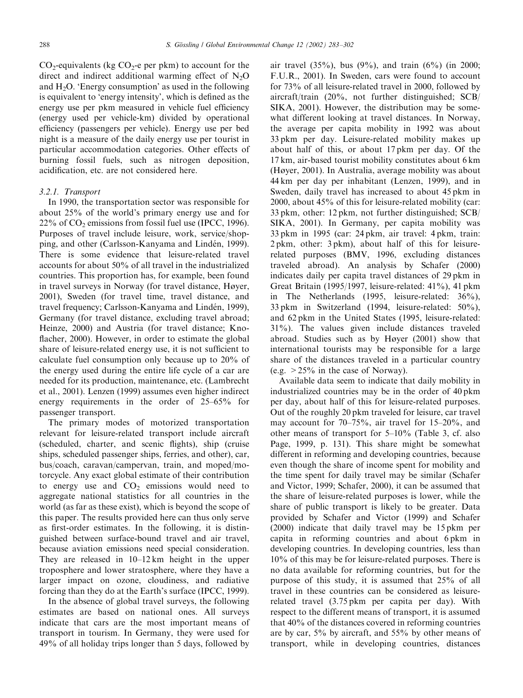$CO_2$ -equivalents (kg  $CO_2$ -e per pkm) to account for the direct and indirect additional warming effect of  $N_2O$ and  $H_2O$ . 'Energy consumption' as used in the following is equivalent to 'energy intensity', which is defined as the energy use per pkm measured in vehicle fuel efficiency (energy used per vehicle-km) divided by operational efficiency (passengers per vehicle). Energy use per bed night is a measure of the daily energy use per tourist in particular accommodation categories. Other effects of burning fossil fuels, such as nitrogen deposition, acidification, etc. are not considered here.

## 3.2.1. Transport

In 1990, the transportation sector was responsible for about 25% of the world's primary energy use and for  $22\%$  of CO<sub>2</sub> emissions from fossil fuel use (IPCC, 1996). Purposes of travel include leisure, work, service/shopping, and other (Carlsson-Kanyama and Lindén, 1999). There is some evidence that leisure-related travel accounts for about 50% of all travel in the industrialized countries. This proportion has, for example, been found in travel surveys in Norway (for travel distance, Høyer, 2001), Sweden (for travel time, travel distance, and travel frequency; Carlsson-Kanyama and Lindén, 1999), Germany (for travel distance, excluding travel abroad; Heinze, 2000) and Austria (for travel distance; Knoflacher, 2000). However, in order to estimate the global share of leisure-related energy use, it is not sufficient to calculate fuel consumption only because up to 20% of the energy used during the entire life cycle of a car are needed for its production, maintenance, etc. (Lambrecht et al., 2001). Lenzen (1999) assumes even higher indirect energy requirements in the order of 25–65% for passenger transport.

The primary modes of motorized transportation relevant for leisure-related transport include aircraft (scheduled, charter, and scenic flights), ship (cruise ships, scheduled passenger ships, ferries, and other), car, bus/coach, caravan/campervan, train, and moped/motorcycle. Any exact global estimate of their contribution to energy use and  $CO<sub>2</sub>$  emissions would need to aggregate national statistics for all countries in the world (as far as these exist), which is beyond the scope of this paper. The results provided here can thus only serve as first-order estimates. In the following, it is distinguished between surface-bound travel and air travel, because aviation emissions need special consideration. They are released in 10–12 km height in the upper troposphere and lower stratosphere, where they have a larger impact on ozone, cloudiness, and radiative forcing than they do at the Earth's surface (IPCC, 1999).

In the absence of global travel surveys, the following estimates are based on national ones. All surveys indicate that cars are the most important means of transport in tourism. In Germany, they were used for 49% of all holiday trips longer than 5 days, followed by

air travel  $(35\%)$ , bus  $(9\%)$ , and train  $(6\%)$  (in 2000; F.U.R., 2001). In Sweden, cars were found to account for 73% of all leisure-related travel in 2000, followed by aircraft/train (20%, not further distinguished; SCB/ SIKA, 2001). However, the distribution may be somewhat different looking at travel distances. In Norway, the average per capita mobility in 1992 was about 33 pkm per day. Leisure-related mobility makes up about half of this, or about 17 pkm per day. Of the 17 km, air-based tourist mobility constitutes about 6 km (Høyer, 2001). In Australia, average mobility was about 44 km per day per inhabitant (Lenzen, 1999), and in Sweden, daily travel has increased to about 45 pkm in 2000, about 45% of this for leisure-related mobility (car: 33 pkm, other: 12 pkm, not further distinguished; SCB/ SIKA, 2001). In Germany, per capita mobility was 33 pkm in 1995 (car: 24 pkm, air travel: 4 pkm, train: 2 pkm, other: 3 pkm), about half of this for leisurerelated purposes (BMV, 1996, excluding distances traveled abroad). An analysis by Schafer (2000) indicates daily per capita travel distances of 29 pkm in Great Britain (1995/1997, leisure-related: 41%), 41 pkm in The Netherlands (1995, leisure-related: 36%), 33 pkm in Switzerland (1994, leisure-related: 50%), and 62 pkm in the United States (1995, leisure-related: 31%). The values given include distances traveled abroad. Studies such as by Høyer (2001) show that international tourists may be responsible for a large share of the distances traveled in a particular country (e.g.  $>25\%$  in the case of Norway).

Available data seem to indicate that daily mobility in industrialized countries may be in the order of 40 pkm per day, about half of this for leisure-related purposes. Out of the roughly 20 pkm traveled for leisure, car travel may account for 70–75%, air travel for 15–20%, and other means of transport for 5–10% (Table 3, cf. also Page, 1999, p. 131). This share might be somewhat different in reforming and developing countries, because even though the share of income spent for mobility and the time spent for daily travel may be similar (Schafer and Victor, 1999; Schafer, 2000), it can be assumed that the share of leisure-related purposes is lower, while the share of public transport is likely to be greater. Data provided by Schafer and Victor (1999) and Schafer (2000) indicate that daily travel may be 15 pkm per capita in reforming countries and about 6 pkm in developing countries. In developing countries, less than 10% of this may be for leisure-related purposes. There is no data available for reforming countries, but for the purpose of this study, it is assumed that 25% of all travel in these countries can be considered as leisurerelated travel (3.75 pkm per capita per day). With respect to the different means of transport, it is assumed that 40% of the distances covered in reforming countries are by car, 5% by aircraft, and 55% by other means of transport, while in developing countries, distances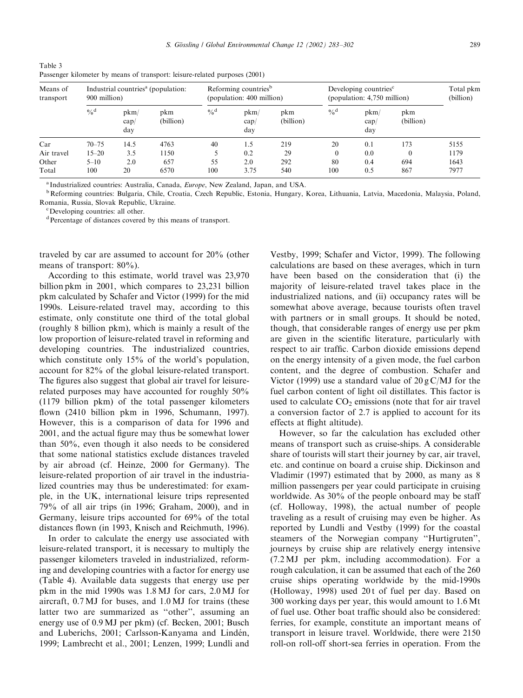Table 3 Passenger kilometer by means of transport: leisure-related purposes (2001)

| Industrial countries <sup>a</sup> (population:<br>Means of<br>900 million)<br>transport |               |                     | Reforming countries <sup>b</sup><br>(population: 400 million) |               | Developing countries <sup>c</sup><br>(population: 4,750 million) |                  |               | Total pkm<br>(billion) |                  |      |
|-----------------------------------------------------------------------------------------|---------------|---------------------|---------------------------------------------------------------|---------------|------------------------------------------------------------------|------------------|---------------|------------------------|------------------|------|
|                                                                                         | $\frac{0}{d}$ | pkm/<br>cap/<br>day | pkm<br>(billion)                                              | $\frac{0}{d}$ | pkm/<br>cap/<br>day                                              | pkm<br>(billion) | $\frac{0}{d}$ | pkm/<br>cap/<br>day    | pkm<br>(billion) |      |
| Car                                                                                     | $70 - 75$     | 14.5                | 4763                                                          | 40            | 1.5                                                              | 219              | 20            | 0.1                    | 173              | 5155 |
| Air travel                                                                              | $15 - 20$     | 3.5                 | 1150                                                          |               | 0.2                                                              | 29               | $\theta$      | 0.0                    |                  | 1179 |
| Other                                                                                   | $5 - 10$      | 2.0                 | 657                                                           | 55            | 2.0                                                              | 292              | 80            | 0.4                    | 694              | 1643 |
| Total                                                                                   | 100           | 20                  | 6570                                                          | 100           | 3.75                                                             | 540              | 100           | 0.5                    | 867              | 7977 |

<sup>a</sup> Industrialized countries: Australia, Canada, *Europe*, New Zealand, Japan, and USA.<br><sup>b</sup> Reforming countries: Bulgaria, Chile, Croatia, Czech Republic, Estonia, Hungary, Korea, Lithuania, Latvia, Macedonia, Malaysia, Po Romania, Russia, Slovak Republic, Ukraine.

Developing countries: all other.

dPercentage of distances covered by this means of transport.

traveled by car are assumed to account for 20% (other means of transport: 80%).

According to this estimate, world travel was 23,970 billion pkm in 2001, which compares to 23,231 billion pkm calculated by Schafer and Victor (1999) for the mid 1990s. Leisure-related travel may, according to this estimate, only constitute one third of the total global (roughly 8 billion pkm), which is mainly a result of the low proportion of leisure-related travel in reforming and developing countries. The industrialized countries, which constitute only 15% of the world's population, account for 82% of the global leisure-related transport. The figures also suggest that global air travel for leisurerelated purposes may have accounted for roughly 50% (1179 billion pkm) of the total passenger kilometers flown (2410 billion pkm in 1996, Schumann, 1997). However, this is a comparison of data for 1996 and 2001, and the actual figure may thus be somewhat lower than 50%, even though it also needs to be considered that some national statistics exclude distances traveled by air abroad (cf. Heinze, 2000 for Germany). The leisure-related proportion of air travel in the industrialized countries may thus be underestimated: for example, in the UK, international leisure trips represented 79% of all air trips (in 1996; Graham, 2000), and in Germany, leisure trips accounted for 69% of the total distances flown (in 1993, Knisch and Reichmuth, 1996).

In order to calculate the energy use associated with leisure-related transport, it is necessary to multiply the passenger kilometers traveled in industrialized, reforming and developing countries with a factor for energy use (Table 4). Available data suggests that energy use per pkm in the mid 1990s was 1.8 MJ for cars, 2.0 MJ for aircraft, 0.7 MJ for buses, and 1.0 MJ for trains (these latter two are summarized as ''other'', assuming an energy use of 0.9 MJ per pkm) (cf. Becken, 2001; Busch and Luberichs, 2001; Carlsson-Kanyama and Lindén, 1999; Lambrecht et al., 2001; Lenzen, 1999; Lundli and

Vestby, 1999; Schafer and Victor, 1999). The following calculations are based on these averages, which in turn have been based on the consideration that (i) the majority of leisure-related travel takes place in the industrialized nations, and (ii) occupancy rates will be somewhat above average, because tourists often travel with partners or in small groups. It should be noted, though, that considerable ranges of energy use per pkm are given in the scientific literature, particularly with respect to air traffic. Carbon dioxide emissions depend on the energy intensity of a given mode, the fuel carbon content, and the degree of combustion. Schafer and Victor (1999) use a standard value of  $20 g C/MJ$  for the fuel carbon content of light oil distillates. This factor is used to calculate  $CO<sub>2</sub>$  emissions (note that for air travel a conversion factor of 2.7 is applied to account for its effects at flight altitude).

However, so far the calculation has excluded other means of transport such as cruise-ships. A considerable share of tourists will start their journey by car, air travel, etc. and continue on board a cruise ship. Dickinson and Vladimir (1997) estimated that by 2000, as many as 8 million passengers per year could participate in cruising worldwide. As 30% of the people onboard may be staff (cf. Holloway, 1998), the actual number of people traveling as a result of cruising may even be higher. As reported by Lundli and Vestby (1999) for the coastal steamers of the Norwegian company ''Hurtigruten'', journeys by cruise ship are relatively energy intensive (7.2 MJ per pkm, including accommodation). For a rough calculation, it can be assumed that each of the 260 cruise ships operating worldwide by the mid-1990s (Holloway, 1998) used 20 t of fuel per day. Based on 300 working days per year, this would amount to 1.6 Mt of fuel use. Other boat traffic should also be considered: ferries, for example, constitute an important means of transport in leisure travel. Worldwide, there were 2150 roll-on roll-off short-sea ferries in operation. From the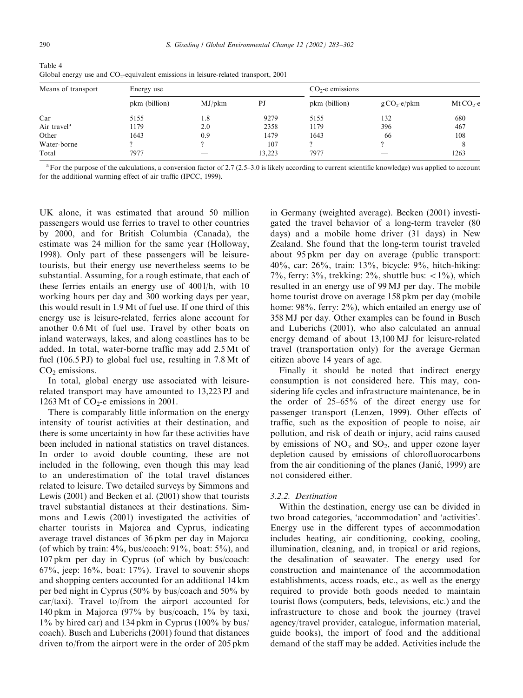| Means of transport      | Energy use    |        |        | $CO2$ -e emissions |                        |            |
|-------------------------|---------------|--------|--------|--------------------|------------------------|------------|
|                         | pkm (billion) | MJ/bkm | PJ     | pkm (billion)      | $g \text{CO}_2$ -e/pkm | $MtCO2$ -e |
| Car                     | 5155          | 1.8    | 9279   | 5155               | 132                    | 680        |
| Air travel <sup>a</sup> | 1179          | 2.0    | 2358   | 1179               | 396                    | 467        |
| Other                   | 1643          | 0.9    | 1479   | 1643               | 66                     | 108        |
| Water-borne             |               |        | 107    |                    |                        |            |
| Total                   | 7977          | __     | 13.223 | 7977               |                        | 1263       |

Table 4 Global energy use and  $CO<sub>2</sub>$ -equivalent emissions in leisure-related transport, 2001

 $a^2$  For the purpose of the calculations, a conversion factor of 2.7 (2.5–3.0 is likely according to current scientific knowledge) was applied to account for the additional warming effect of air traffic (IPCC, 1999).

UK alone, it was estimated that around 50 million passengers would use ferries to travel to other countries by 2000, and for British Columbia (Canada), the estimate was 24 million for the same year (Holloway, 1998). Only part of these passengers will be leisuretourists, but their energy use nevertheless seems to be substantial. Assuming, for a rough estimate, that each of these ferries entails an energy use of 400 l/h, with 10 working hours per day and 300 working days per year, this would result in 1.9 Mt of fuel use. If one third of this energy use is leisure-related, ferries alone account for another 0.6 Mt of fuel use. Travel by other boats on inland waterways, lakes, and along coastlines has to be added. In total, water-borne traffic may add 2.5 Mt of fuel (106.5 PJ) to global fuel use, resulting in 7.8 Mt of  $CO<sub>2</sub>$  emissions.

In total, global energy use associated with leisurerelated transport may have amounted to 13,223 PJ and 1263 Mt of  $CO<sub>2</sub>$ -e emissions in 2001.

There is comparably little information on the energy intensity of tourist activities at their destination, and there is some uncertainty in how far these activities have been included in national statistics on travel distances. In order to avoid double counting, these are not included in the following, even though this may lead to an underestimation of the total travel distances related to leisure. Two detailed surveys by Simmons and Lewis (2001) and Becken et al. (2001) show that tourists travel substantial distances at their destinations. Simmons and Lewis (2001) investigated the activities of charter tourists in Majorca and Cyprus, indicating average travel distances of 36 pkm per day in Majorca (of which by train: 4%, bus/coach: 91%, boat: 5%), and 107 pkm per day in Cyprus (of which by bus/coach:  $67\%$ , jeep:  $16\%$ , boat:  $17\%$ ). Travel to souvenir shops and shopping centers accounted for an additional 14 km per bed night in Cyprus (50% by bus/coach and 50% by car/taxi). Travel to/from the airport accounted for 140 pkm in Majorca (97% by bus/coach, 1% by taxi, 1% by hired car) and 134 pkm in Cyprus (100% by bus/ coach). Busch and Luberichs (2001) found that distances driven to/from the airport were in the order of 205 pkm

in Germany (weighted average). Becken (2001) investigated the travel behavior of a long-term traveler (80 days) and a mobile home driver (31 days) in New Zealand. She found that the long-term tourist traveled about 95 pkm per day on average (public transport: 40%, car: 26%, train: 13%, bicycle: 9%, hitch-hiking: 7%, ferry: 3%, trekking:  $2\%$ , shuttle bus:  $\langle 1\%$ ), which resulted in an energy use of 99 MJ per day. The mobile home tourist drove on average 158 pkm per day (mobile home: 98%, ferry: 2%), which entailed an energy use of 358 MJ per day. Other examples can be found in Busch and Luberichs (2001), who also calculated an annual energy demand of about 13,100 MJ for leisure-related travel (transportation only) for the average German citizen above 14 years of age.

Finally it should be noted that indirect energy consumption is not considered here. This may, considering life cycles and infrastructure maintenance, be in the order of 25–65% of the direct energy use for passenger transport (Lenzen, 1999). Other effects of traffic, such as the exposition of people to noise, air pollution, and risk of death or injury, acid rains caused by emissions of  $NO<sub>x</sub>$  and  $SO<sub>2</sub>$ , and upper ozone layer depletion caused by emissions of chlorofluorocarbons from the air conditioning of the planes (Janic, 1999) are ! not considered either.

### 3.2.2. Destination

Within the destination, energy use can be divided in two broad categories, 'accommodation' and 'activities'. Energy use in the different types of accommodation includes heating, air conditioning, cooking, cooling, illumination, cleaning, and, in tropical or arid regions, the desalination of seawater. The energy used for construction and maintenance of the accommodation establishments, access roads, etc., as well as the energy required to provide both goods needed to maintain tourist flows (computers, beds, televisions, etc.) and the infrastructure to chose and book the journey (travel agency/travel provider, catalogue, information material, guide books), the import of food and the additional demand of the staff may be added. Activities include the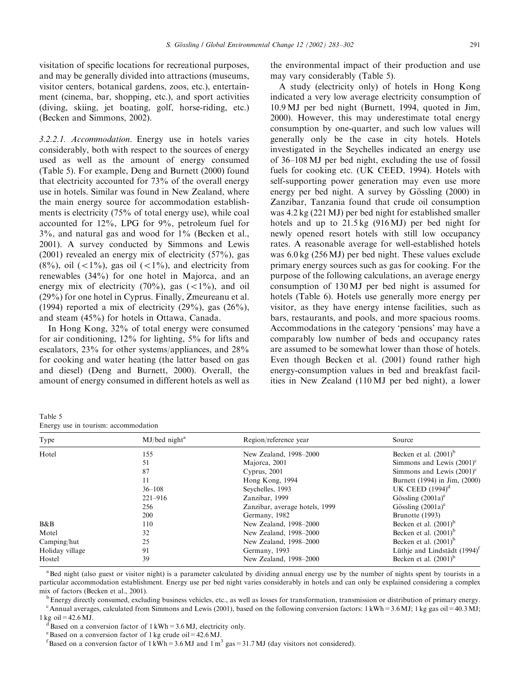visitation of specific locations for recreational purposes, and may be generally divided into attractions (museums, visitor centers, botanical gardens, zoos, etc.), entertainment (cinema, bar, shopping, etc.), and sport activities (diving, skiing, jet boating, golf, horse-riding, etc.) (Becken and Simmons, 2002).

3.2.2.1. Accommodation. Energy use in hotels varies considerably, both with respect to the sources of energy used as well as the amount of energy consumed (Table 5). For example, Deng and Burnett (2000) found that electricity accounted for 73% of the overall energy use in hotels. Similar was found in New Zealand, where the main energy source for accommodation establishments is electricity (75% of total energy use), while coal accounted for 12%, LPG for 9%, petroleum fuel for  $3\%$ , and natural gas and wood for  $1\%$  (Becken et al., 2001). A survey conducted by Simmons and Lewis (2001) revealed an energy mix of electricity (57%), gas  $(8\%)$ , oil  $(<1\%)$ , gas oil  $(<1\%)$ , and electricity from renewables (34%) for one hotel in Majorca, and an energy mix of electricity  $(70\%)$ , gas  $(<1\%)$ , and oil (29%) for one hotel in Cyprus. Finally, Zmeureanu et al. (1994) reported a mix of electricity  $(29\%)$ , gas  $(26\%)$ , and steam (45%) for hotels in Ottawa, Canada.

In Hong Kong, 32% of total energy were consumed for air conditioning, 12% for lighting, 5% for lifts and escalators, 23% for other systems/appliances, and 28% for cooking and water heating (the latter based on gas and diesel) (Deng and Burnett, 2000). Overall, the amount of energy consumed in different hotels as well as the environmental impact of their production and use may vary considerably (Table 5).

A study (electricity only) of hotels in Hong Kong indicated a very low average electricity consumption of 10.9 MJ per bed night (Burnett, 1994, quoted in Jim, 2000). However, this may underestimate total energy consumption by one-quarter, and such low values will generally only be the case in city hotels. Hotels investigated in the Seychelles indicated an energy use of 36–108 MJ per bed night, excluding the use of fossil fuels for cooking etc. (UK CEED, 1994). Hotels with self-supporting power generation may even use more energy per bed night. A survey by Gössling (2000) in Zanzibar, Tanzania found that crude oil consumption was 4.2 kg (221 MJ) per bed night for established smaller hotels and up to 21.5 kg (916 MJ) per bed night for newly opened resort hotels with still low occupancy rates. A reasonable average for well-established hotels was 6.0 kg (256 MJ) per bed night. These values exclude primary energy sources such as gas for cooking. For the purpose of the following calculations, an average energy consumption of 130 MJ per bed night is assumed for hotels (Table 6). Hotels use generally more energy per visitor, as they have energy intense facilities, such as bars, restaurants, and pools, and more spacious rooms. Accommodations in the category 'pensions' may have a comparably low number of beds and occupancy rates are assumed to be somewhat lower than those of hotels. Even though Becken et al. (2001) found rather high energy-consumption values in bed and breakfast facilities in New Zealand (110 MJ per bed night), a lower

| Table 5 |                                      |
|---------|--------------------------------------|
|         | Energy use in tourism: accommodation |

| Type            | $MJ/bed$ night <sup>a</sup> | Region/reference year          | Source                          |
|-----------------|-----------------------------|--------------------------------|---------------------------------|
| Hotel           | 155                         | New Zealand, 1998-2000         | Becken et al. $(2001)^b$        |
|                 | 51                          | Majorca, 2001                  | Simmons and Lewis $(2001)^c$    |
|                 | 87                          | Cyprus, $2001$                 | Simmons and Lewis $(2001)^c$    |
|                 | 11                          | Hong Kong, 1994                | Burnett (1994) in Jim, (2000)   |
|                 | $36 - 108$                  | Sevchelles, 1993               | UK CEED $(1994)^d$              |
|                 | $221 - 916$                 | Zanzibar, 1999                 | Gössling $(2001a)^e$            |
|                 | 256                         | Zanzibar, average hotels, 1999 | Gössling $(2001a)^e$            |
|                 | <b>200</b>                  | Germany, 1982                  | Brunotte (1993)                 |
| B&B             | 110                         | New Zealand, 1998–2000         | Becken et al. $(2001)^b$        |
| Motel           | 32                          | New Zealand, 1998-2000         | Becken et al. $(2001)^{6}$      |
| Camping/hut     | 25                          | New Zealand, 1998–2000         | Becken et al. $(2001)^b$        |
| Holiday village | 91                          | Germany, 1993                  | Lüthje and Lindstädt $(1994)^t$ |
| Hostel          | 39                          | New Zealand, 1998-2000         | Becken et al. $(2001)^b$        |
|                 |                             |                                |                                 |

<sup>a</sup>Bed night (also guest or visitor night) is a parameter calculated by dividing annual energy use by the number of nights spent by tourists in a particular accommodation establishment. Energy use per bed night varies considerably in hotels and can only be explained considering a complex mix of factors (Becken et al., 2001).<br><sup>b</sup>Energy directly consumed, excluding business vehicles, etc., as well as losses for transformation, transmission or distribution of primary energy.

<sup>c</sup> Annual averages, calculated from Simmons and Lewis (2001), based on the following conversion factors: 1 kWh = 3.6 MJ; 1 kg gas oil = 40.3 MJ;

1 kg oil = 42.6 MJ.<br> $\frac{d}{d}$ Based on a conversion factor of 1 kWh = 3.6 MJ, electricity only.

<sup>e</sup> Based on a conversion factor of 1 kg crude oil =  $42.6$  MJ.

<sup>f</sup> Based on a conversion factor of 1 kWh = 3.6 MJ and 1 m<sup>3</sup> gas = 31.7 MJ (day visitors not considered).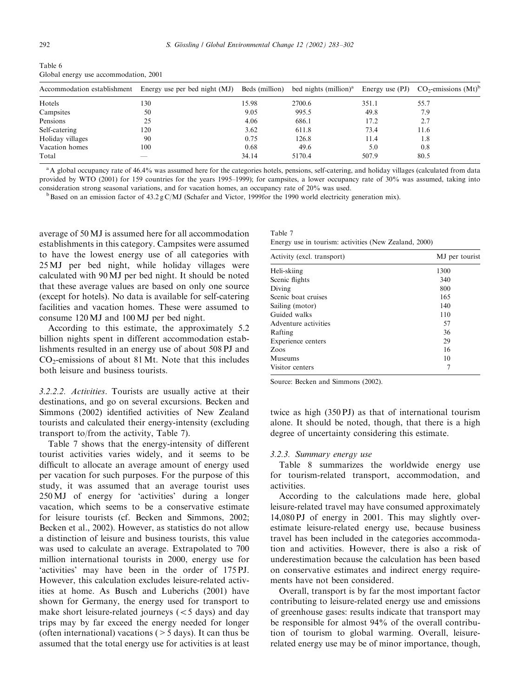| Table 6 |  |                                       |  |
|---------|--|---------------------------------------|--|
|         |  | Global energy use accommodation, 2001 |  |

| Accommodation establishment | Energy use per bed night (MJ) | Beds (million) | bed nights (million) <sup>a</sup> | Energy use $(PI)$ | $CO_2$ -emissions $(Mt)^b$ |
|-----------------------------|-------------------------------|----------------|-----------------------------------|-------------------|----------------------------|
| Hotels                      | 130                           | 15.98          | 2700.6                            | 351.1             | 55.7                       |
| Campsites                   | 50                            | 9.05           | 995.5                             | 49.8              | 7.9                        |
| Pensions                    | 25                            | 4.06           | 686.1                             | 17.2              | 2.7                        |
| Self-catering               | 120                           | 3.62           | 611.8                             | 73.4              | 11.6                       |
| Holiday villages            | 90                            | 0.75           | 126.8                             | 11.4              | 1.8                        |
| Vacation homes              | 100                           | 0.68           | 49.6                              | 5.0               | 0.8                        |
| Total                       |                               | 34.14          | 5170.4                            | 507.9             | 80.5                       |

<sup>a</sup>A global occupancy rate of 46.4% was assumed here for the categories hotels, pensions, self-catering, and holiday villages (calculated from data provided by WTO (2001) for 159 countries for the years 1995–1999); for campsites, a lower occupancy rate of 30% was assumed, taking into

consideration strong seasonal variations, and for vacation homes, an occupancy rate of 20% was used.<br><sup>b</sup>Based on an emission factor of 43.2 g C/MJ (Schafer and Victor, 1999for the 1990 world electricity generation mix).

average of 50 MJ is assumed here for all accommodation establishments in this category. Campsites were assumed to have the lowest energy use of all categories with 25 MJ per bed night, while holiday villages were calculated with 90 MJ per bed night. It should be noted that these average values are based on only one source (except for hotels). No data is available for self-catering facilities and vacation homes. These were assumed to consume 120 MJ and 100 MJ per bed night.

According to this estimate, the approximately 5.2 billion nights spent in different accommodation establishments resulted in an energy use of about 508 PJ and  $CO<sub>2</sub>$ -emissions of about 81 Mt. Note that this includes both leisure and business tourists.

3.2.2.2. Activities. Tourists are usually active at their destinations, and go on several excursions. Becken and Simmons (2002) identified activities of New Zealand tourists and calculated their energy-intensity (excluding transport to/from the activity, Table 7).

Table 7 shows that the energy-intensity of different tourist activities varies widely, and it seems to be difficult to allocate an average amount of energy used per vacation for such purposes. For the purpose of this study, it was assumed that an average tourist uses 250 MJ of energy for 'activities' during a longer vacation, which seems to be a conservative estimate for leisure tourists (cf. Becken and Simmons, 2002; Becken et al., 2002). However, as statistics do not allow a distinction of leisure and business tourists, this value was used to calculate an average. Extrapolated to 700 million international tourists in 2000, energy use for 'activities' may have been in the order of 175 PJ. However, this calculation excludes leisure-related activities at home. As Busch and Luberichs (2001) have shown for Germany, the energy used for transport to make short leisure-related journeys  $(< 5$  days) and day trips may by far exceed the energy needed for longer (often international) vacations  $($  > 5 days). It can thus be assumed that the total energy use for activities is at least

| Table 7 |  |                                                       |  |  |
|---------|--|-------------------------------------------------------|--|--|
|         |  | Energy use in tourism: activities (New Zealand, 2000) |  |  |

| Activity (excl. transport) | MJ per tourist |
|----------------------------|----------------|
| Heli-skiing                | 1300           |
| Scenic flights             | 340            |
| Diving                     | 800            |
| Scenic boat cruises        | 165            |
| Sailing (motor)            | 140            |
| Guided walks               | 110            |
| Adventure activities       | 57             |
| Rafting                    | 36             |
| Experience centers         | 29             |
| Zoos                       | 16             |
| Museums                    | 10             |
| Visitor centers            |                |

Source: Becken and Simmons (2002).

twice as high (350 PJ) as that of international tourism alone. It should be noted, though, that there is a high degree of uncertainty considering this estimate.

#### 3.2.3. Summary energy use

Table 8 summarizes the worldwide energy use for tourism-related transport, accommodation, and activities.

According to the calculations made here, global leisure-related travel may have consumed approximately 14,080 PJ of energy in 2001. This may slightly overestimate leisure-related energy use, because business travel has been included in the categories accommodation and activities. However, there is also a risk of underestimation because the calculation has been based on conservative estimates and indirect energy requirements have not been considered.

Overall, transport is by far the most important factor contributing to leisure-related energy use and emissions of greenhouse gases: results indicate that transport may be responsible for almost 94% of the overall contribution of tourism to global warming. Overall, leisurerelated energy use may be of minor importance, though,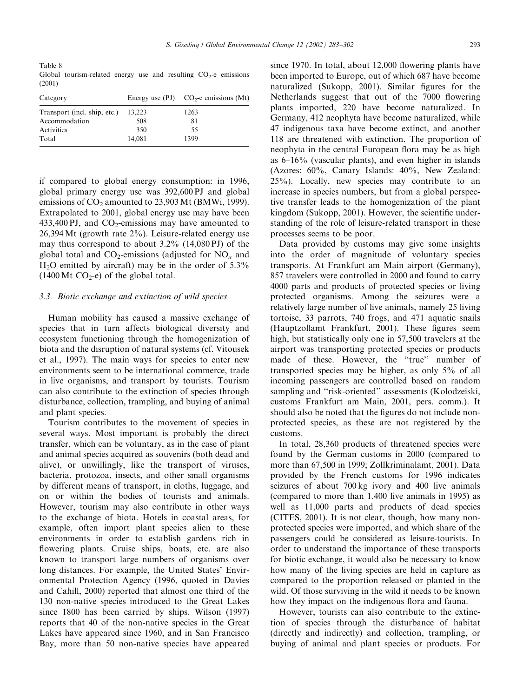Table 8 Global tourism-related energy use and resulting  $CO<sub>2</sub>$ -e emissions (2001)

| Category                     |        | Energy use $(PI)$ $CO2$ -e emissions $(Mt)$ |
|------------------------------|--------|---------------------------------------------|
| Transport (incl. ship, etc.) | 13.223 | 1263                                        |
| Accommodation                | 508    | 81                                          |
| Activities                   | 350    | 55                                          |
| Total                        | 14,081 | 1399                                        |

if compared to global energy consumption: in 1996, global primary energy use was 392,600 PJ and global emissions of  $CO<sub>2</sub>$  amounted to 23,903 Mt (BMWi, 1999). Extrapolated to 2001, global energy use may have been 433,400 PJ, and  $CO_2$ -emissions may have amounted to 26,394Mt (growth rate 2%). Leisure-related energy use may thus correspond to about  $3.2\%$  (14,080 PJ) of the global total and  $CO_2$ -emissions (adjusted for  $NO<sub>x</sub>$  and  $H<sub>2</sub>O$  emitted by aircraft) may be in the order of 5.3%  $(1400 \text{ Mt } CO_2$ -e) of the global total.

#### 3.3. Biotic exchange and extinction of wild species

Human mobility has caused a massive exchange of species that in turn affects biological diversity and ecosystem functioning through the homogenization of biota and the disruption of natural systems (cf. Vitousek et al., 1997). The main ways for species to enter new environments seem to be international commerce, trade in live organisms, and transport by tourists. Tourism can also contribute to the extinction of species through disturbance, collection, trampling, and buying of animal and plant species.

Tourism contributes to the movement of species in several ways. Most important is probably the direct transfer, which can be voluntary, as in the case of plant and animal species acquired as souvenirs (both dead and alive), or unwillingly, like the transport of viruses, bacteria, protozoa, insects, and other small organisms by different means of transport, in cloths, luggage, and on or within the bodies of tourists and animals. However, tourism may also contribute in other ways to the exchange of biota. Hotels in coastal areas, for example, often import plant species alien to these environments in order to establish gardens rich in flowering plants. Cruise ships, boats, etc. are also known to transport large numbers of organisms over long distances. For example, the United States' Environmental Protection Agency (1996, quoted in Davies and Cahill, 2000) reported that almost one third of the 130 non-native species introduced to the Great Lakes since 1800 has been carried by ships. Wilson (1997) reports that 40 of the non-native species in the Great Lakes have appeared since 1960, and in San Francisco Bay, more than 50 non-native species have appeared

since 1970. In total, about 12,000 flowering plants have been imported to Europe, out of which 687 have become naturalized (Sukopp, 2001). Similar figures for the Netherlands suggest that out of the 7000 flowering plants imported, 220 have become naturalized. In Germany, 412 neophyta have become naturalized, while 47 indigenous taxa have become extinct, and another 118 are threatened with extinction. The proportion of neophyta in the central European flora may be as high as 6–16% (vascular plants), and even higher in islands (Azores: 60%, Canary Islands: 40%, New Zealand: 25%). Locally, new species may contribute to an increase in species numbers, but from a global perspective transfer leads to the homogenization of the plant kingdom (Sukopp, 2001). However, the scientific understanding of the role of leisure-related transport in these processes seems to be poor.

Data provided by customs may give some insights into the order of magnitude of voluntary species transports. At Frankfurt am Main airport (Germany), 857 travelers were controlled in 2000 and found to carry 4000 parts and products of protected species or living protected organisms. Among the seizures were a relatively large number of live animals, namely 25 living tortoise, 33 parrots, 740 frogs, and 471 aquatic snails (Hauptzollamt Frankfurt, 2001). These figures seem high, but statistically only one in 57,500 travelers at the airport was transporting protected species or products made of these. However, the "true" number of transported species may be higher, as only 5% of all incoming passengers are controlled based on random sampling and "risk-oriented" assessments (Kolodzeiski, customs Frankfurt am Main, 2001, pers. comm.). It should also be noted that the figures do not include nonprotected species, as these are not registered by the customs.

In total, 28,360 products of threatened species were found by the German customs in 2000 (compared to more than 67,500 in 1999; Zollkriminalamt, 2001). Data provided by the French customs for 1996 indicates seizures of about 700 kg ivory and 400 live animals (compared to more than 1.400 live animals in 1995) as well as 11,000 parts and products of dead species (CITES, 2001). It is not clear, though, how many nonprotected species were imported, and which share of the passengers could be considered as leisure-tourists. In order to understand the importance of these transports for biotic exchange, it would also be necessary to know how many of the living species are held in capture as compared to the proportion released or planted in the wild. Of those surviving in the wild it needs to be known how they impact on the indigenous flora and fauna.

However, tourists can also contribute to the extinction of species through the disturbance of habitat (directly and indirectly) and collection, trampling, or buying of animal and plant species or products. For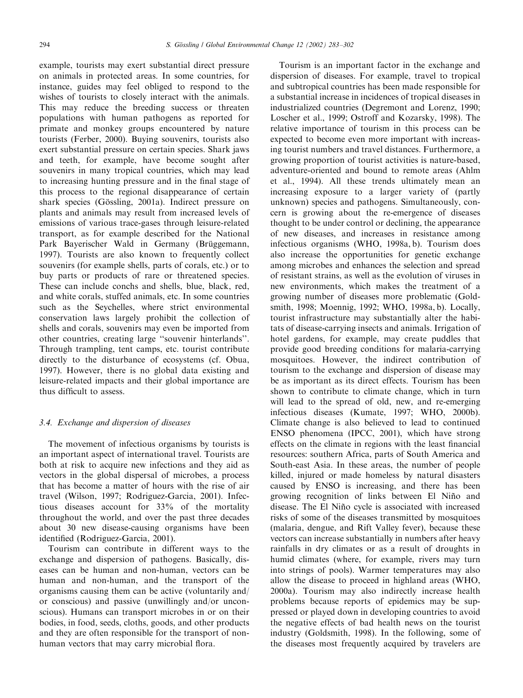example, tourists may exert substantial direct pressure on animals in protected areas. In some countries, for instance, guides may feel obliged to respond to the wishes of tourists to closely interact with the animals. This may reduce the breeding success or threaten populations with human pathogens as reported for primate and monkey groups encountered by nature tourists (Ferber, 2000). Buying souvenirs, tourists also exert substantial pressure on certain species. Shark jaws and teeth, for example, have become sought after souvenirs in many tropical countries, which may lead to increasing hunting pressure and in the final stage of this process to the regional disappearance of certain shark species (Gössling, 2001a). Indirect pressure on plants and animals may result from increased levels of emissions of various trace-gases through leisure-related transport, as for example described for the National Park Bayerischer Wald in Germany (Brüggemann, 1997). Tourists are also known to frequently collect souvenirs (for example shells, parts of corals, etc.) or to buy parts or products of rare or threatened species. These can include conchs and shells, blue, black, red, and white corals, stuffed animals, etc. In some countries such as the Seychelles, where strict environmental conservation laws largely prohibit the collection of shells and corals, souvenirs may even be imported from other countries, creating large ''souvenir hinterlands''. Through trampling, tent camps, etc. tourist contribute directly to the disturbance of ecosystems (cf. Obua, 1997). However, there is no global data existing and leisure-related impacts and their global importance are thus difficult to assess.

#### 3.4. Exchange and dispersion of diseases

The movement of infectious organisms by tourists is an important aspect of international travel. Tourists are both at risk to acquire new infections and they aid as vectors in the global dispersal of microbes, a process that has become a matter of hours with the rise of air travel (Wilson, 1997; Rodriguez-Garcia, 2001). Infectious diseases account for 33% of the mortality throughout the world, and over the past three decades about 30 new disease-causing organisms have been identified (Rodriguez-Garcia, 2001).

Tourism can contribute in different ways to the exchange and dispersion of pathogens. Basically, diseases can be human and non-human, vectors can be human and non-human, and the transport of the organisms causing them can be active (voluntarily and/ or conscious) and passive (unwillingly and/or unconscious). Humans can transport microbes in or on their bodies, in food, seeds, cloths, goods, and other products and they are often responsible for the transport of nonhuman vectors that may carry microbial flora.

Tourism is an important factor in the exchange and dispersion of diseases. For example, travel to tropical and subtropical countries has been made responsible for a substantial increase in incidences of tropical diseases in industrialized countries (Degremont and Lorenz, 1990; Loscher et al., 1999; Ostroff and Kozarsky, 1998). The relative importance of tourism in this process can be expected to become even more important with increasing tourist numbers and travel distances. Furthermore, a growing proportion of tourist activities is nature-based, adventure-oriented and bound to remote areas (Ahlm et al., 1994). All these trends ultimately mean an increasing exposure to a larger variety of (partly unknown) species and pathogens. Simultaneously, concern is growing about the re-emergence of diseases thought to be under control or declining, the appearance of new diseases, and increases in resistance among infectious organisms (WHO, 1998a, b). Tourism does also increase the opportunities for genetic exchange among microbes and enhances the selection and spread of resistant strains, as well as the evolution of viruses in new environments, which makes the treatment of a growing number of diseases more problematic (Goldsmith, 1998; Moennig, 1992; WHO, 1998a, b). Locally, tourist infrastructure may substantially alter the habitats of disease-carrying insects and animals. Irrigation of hotel gardens, for example, may create puddles that provide good breeding conditions for malaria-carrying mosquitoes. However, the indirect contribution of tourism to the exchange and dispersion of disease may be as important as its direct effects. Tourism has been shown to contribute to climate change, which in turn will lead to the spread of old, new, and re-emerging infectious diseases (Kumate, 1997; WHO, 2000b). Climate change is also believed to lead to continued ENSO phenomena (IPCC, 2001), which have strong effects on the climate in regions with the least financial resources: southern Africa, parts of South America and South-east Asia. In these areas, the number of people killed, injured or made homeless by natural disasters caused by ENSO is increasing, and there has been growing recognition of links between El Nino and \* disease. The El Nino cycle is associated with increased \* risks of some of the diseases transmitted by mosquitoes (malaria, dengue, and Rift Valley fever), because these vectors can increase substantially in numbers after heavy rainfalls in dry climates or as a result of droughts in humid climates (where, for example, rivers may turn into strings of pools). Warmer temperatures may also allow the disease to proceed in highland areas (WHO, 2000a). Tourism may also indirectly increase health problems because reports of epidemics may be suppressed or played down in developing countries to avoid the negative effects of bad health news on the tourist industry (Goldsmith, 1998). In the following, some of the diseases most frequently acquired by travelers are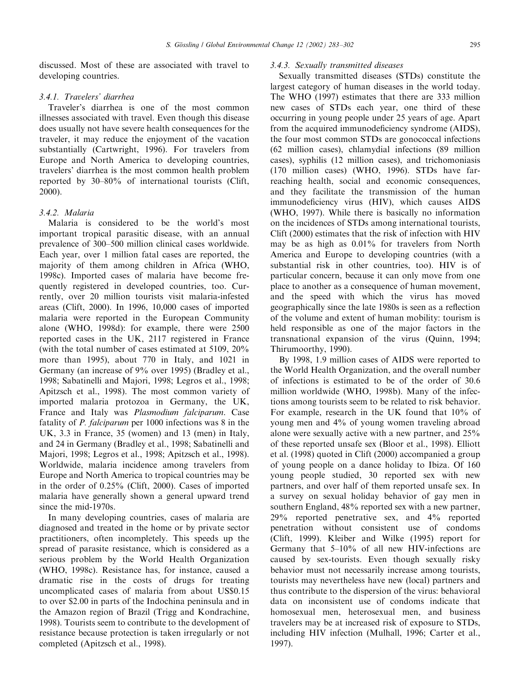discussed. Most of these are associated with travel to developing countries.

#### 3.4.1. Travelers' diarrhea

Traveler's diarrhea is one of the most common illnesses associated with travel. Even though this disease does usually not have severe health consequences for the traveler, it may reduce the enjoyment of the vacation substantially (Cartwright, 1996). For travelers from Europe and North America to developing countries, travelers' diarrhea is the most common health problem reported by 30–80% of international tourists (Clift, 2000).

## 3.4.2. Malaria

Malaria is considered to be the world's most important tropical parasitic disease, with an annual prevalence of 300–500 million clinical cases worldwide. Each year, over 1 million fatal cases are reported, the majority of them among children in Africa (WHO, 1998c). Imported cases of malaria have become frequently registered in developed countries, too. Currently, over 20 million tourists visit malaria-infested areas (Clift, 2000). In 1996, 10,000 cases of imported malaria were reported in the European Community alone (WHO, 1998d): for example, there were 2500 reported cases in the UK, 2117 registered in France (with the total number of cases estimated at 5109, 20% more than 1995), about 770 in Italy, and 1021 in Germany (an increase of 9% over 1995) (Bradley et al., 1998; Sabatinelli and Majori, 1998; Legros et al., 1998; Apitzsch et al., 1998). The most common variety of imported malaria protozoa in Germany, the UK, France and Italy was Plasmodium falciparum. Case fatality of P. falciparum per 1000 infections was 8 in the UK, 3.3 in France, 35 (women) and 13 (men) in Italy, and 24 in Germany (Bradley et al., 1998; Sabatinelli and Majori, 1998; Legros et al., 1998; Apitzsch et al., 1998). Worldwide, malaria incidence among travelers from Europe and North America to tropical countries may be in the order of 0.25% (Clift, 2000). Cases of imported malaria have generally shown a general upward trend since the mid-1970s.

In many developing countries, cases of malaria are diagnosed and treated in the home or by private sector practitioners, often incompletely. This speeds up the spread of parasite resistance, which is considered as a serious problem by the World Health Organization (WHO, 1998c). Resistance has, for instance, caused a dramatic rise in the costs of drugs for treating uncomplicated cases of malaria from about US\$0.15 to over \$2.00 in parts of the Indochina peninsula and in the Amazon region of Brazil (Trigg and Kondrachine, 1998). Tourists seem to contribute to the development of resistance because protection is taken irregularly or not completed (Apitzsch et al., 1998).

## 3.4.3. Sexually transmitted diseases

Sexually transmitted diseases (STDs) constitute the largest category of human diseases in the world today. The WHO (1997) estimates that there are 333 million new cases of STDs each year, one third of these occurring in young people under 25 years of age. Apart from the acquired immunodeficiency syndrome (AIDS), the four most common STDs are gonococcal infections (62 million cases), chlamydial infections (89 million cases), syphilis (12 million cases), and trichomoniasis (170 million cases) (WHO, 1996). STDs have farreaching health, social and economic consequences, and they facilitate the transmission of the human immunodeficiency virus (HIV), which causes AIDS (WHO, 1997). While there is basically no information on the incidences of STDs among international tourists, Clift (2000) estimates that the risk of infection with HIV may be as high as 0.01% for travelers from North America and Europe to developing countries (with a substantial risk in other countries, too). HIV is of particular concern, because it can only move from one place to another as a consequence of human movement, and the speed with which the virus has moved geographically since the late 1980s is seen as a reflection of the volume and extent of human mobility: tourism is held responsible as one of the major factors in the transnational expansion of the virus (Quinn, 1994; Thirumoorthy, 1990).

By 1998, 1.9 million cases of AIDS were reported to the World Health Organization, and the overall number of infections is estimated to be of the order of 30.6 million worldwide (WHO, 1998b). Many of the infections among tourists seem to be related to risk behavior. For example, research in the UK found that 10% of young men and 4% of young women traveling abroad alone were sexually active with a new partner, and 25% of these reported unsafe sex (Bloor et al., 1998). Elliott et al. (1998) quoted in Clift (2000) accompanied a group of young people on a dance holiday to Ibiza. Of 160 young people studied, 30 reported sex with new partners, and over half of them reported unsafe sex. In a survey on sexual holiday behavior of gay men in southern England, 48% reported sex with a new partner, 29% reported penetrative sex, and 4% reported penetration without consistent use of condoms (Clift, 1999). Kleiber and Wilke (1995) report for Germany that 5–10% of all new HIV-infections are caused by sex-tourists. Even though sexually risky behavior must not necessarily increase among tourists, tourists may nevertheless have new (local) partners and thus contribute to the dispersion of the virus: behavioral data on inconsistent use of condoms indicate that homosexual men, heterosexual men, and business travelers may be at increased risk of exposure to STDs, including HIV infection (Mulhall, 1996; Carter et al., 1997).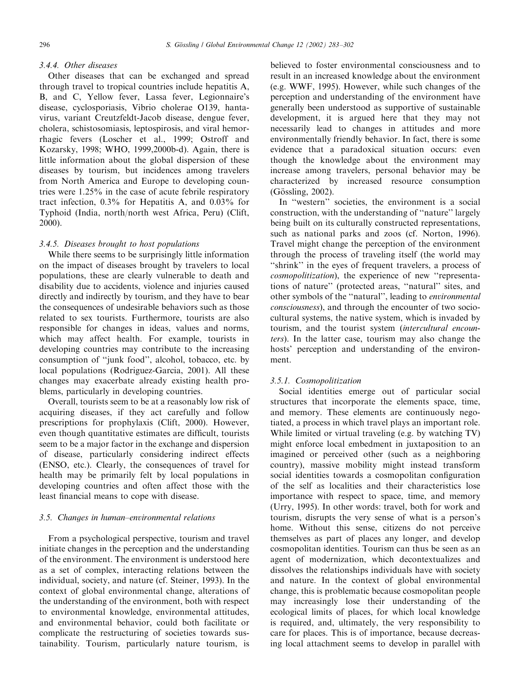# 3.4.4. Other diseases

Other diseases that can be exchanged and spread through travel to tropical countries include hepatitis A, B, and C, Yellow fever, Lassa fever, Legionnaire's disease, cyclosporiasis, Vibrio cholerae O139, hantavirus, variant Creutzfeldt-Jacob disease, dengue fever, cholera, schistosomiasis, leptospirosis, and viral hemorrhagic fevers (Loscher et al., 1999; Ostroff and Kozarsky, 1998; WHO, 1999,2000b-d). Again, there is little information about the global dispersion of these diseases by tourism, but incidences among travelers from North America and Europe to developing countries were 1.25% in the case of acute febrile respiratory tract infection, 0.3% for Hepatitis A, and 0.03% for Typhoid (India, north/north west Africa, Peru) (Clift, 2000).

## 3.4.5. Diseases brought to host populations

While there seems to be surprisingly little information on the impact of diseases brought by travelers to local populations, these are clearly vulnerable to death and disability due to accidents, violence and injuries caused directly and indirectly by tourism, and they have to bear the consequences of undesirable behaviors such as those related to sex tourists. Furthermore, tourists are also responsible for changes in ideas, values and norms, which may affect health. For example, tourists in developing countries may contribute to the increasing consumption of ''junk food'', alcohol, tobacco, etc. by local populations (Rodriguez-Garcia, 2001). All these changes may exacerbate already existing health problems, particularly in developing countries.

Overall, tourists seem to be at a reasonably low risk of acquiring diseases, if they act carefully and follow prescriptions for prophylaxis (Clift, 2000). However, even though quantitative estimates are difficult, tourists seem to be a major factor in the exchange and dispersion of disease, particularly considering indirect effects (ENSO, etc.). Clearly, the consequences of travel for health may be primarily felt by local populations in developing countries and often affect those with the least financial means to cope with disease.

## 3.5. Changes in human–environmental relations

From a psychological perspective, tourism and travel initiate changes in the perception and the understanding of the environment. The environment is understood here as a set of complex, interacting relations between the individual, society, and nature (cf. Steiner, 1993). In the context of global environmental change, alterations of the understanding of the environment, both with respect to environmental knowledge, environmental attitudes, and environmental behavior, could both facilitate or complicate the restructuring of societies towards sustainability. Tourism, particularly nature tourism, is believed to foster environmental consciousness and to result in an increased knowledge about the environment (e.g. WWF, 1995). However, while such changes of the perception and understanding of the environment have generally been understood as supportive of sustainable development, it is argued here that they may not necessarily lead to changes in attitudes and more environmentally friendly behavior. In fact, there is some evidence that a paradoxical situation occurs: even though the knowledge about the environment may increase among travelers, personal behavior may be characterized by increased resource consumption (Gössling, 2002).

In "western" societies, the environment is a social construction, with the understanding of ''nature'' largely being built on its culturally constructed representations, such as national parks and zoos (cf. Norton, 1996). Travel might change the perception of the environment through the process of traveling itself (the world may ''shrink'' in the eyes of frequent travelers, a process of cosmopolitization), the experience of new ''representations of nature'' (protected areas, ''natural'' sites, and other symbols of the ''natural'', leading to environmental consciousness), and through the encounter of two sociocultural systems, the native system, which is invaded by tourism, and the tourist system (intercultural encounters). In the latter case, tourism may also change the hosts' perception and understanding of the environment.

#### 3.5.1. Cosmopolitization

Social identities emerge out of particular social structures that incorporate the elements space, time, and memory. These elements are continuously negotiated, a process in which travel plays an important role. While limited or virtual traveling (e.g. by watching TV) might enforce local embedment in juxtaposition to an imagined or perceived other (such as a neighboring country), massive mobility might instead transform social identities towards a cosmopolitan configuration of the self as localities and their characteristics lose importance with respect to space, time, and memory (Urry, 1995). In other words: travel, both for work and tourism, disrupts the very sense of what is a person's home. Without this sense, citizens do not perceive themselves as part of places any longer, and develop cosmopolitan identities. Tourism can thus be seen as an agent of modernization, which decontextualizes and dissolves the relationships individuals have with society and nature. In the context of global environmental change, this is problematic because cosmopolitan people may increasingly lose their understanding of the ecological limits of places, for which local knowledge is required, and, ultimately, the very responsibility to care for places. This is of importance, because decreasing local attachment seems to develop in parallel with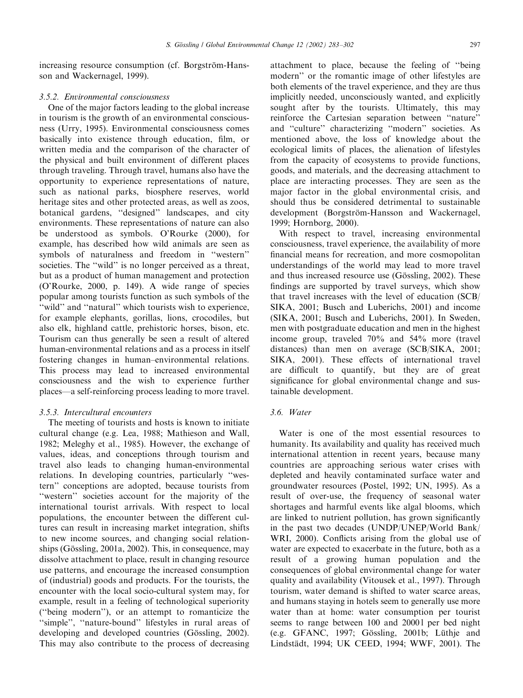increasing resource consumption (cf. Borgström-Hansson and Wackernagel, 1999).

#### 3.5.2. Environmental consciousness

One of the major factors leading to the global increase in tourism is the growth of an environmental consciousness (Urry, 1995). Environmental consciousness comes basically into existence through education, film, or written media and the comparison of the character of the physical and built environment of different places through traveling. Through travel, humans also have the opportunity to experience representations of nature, such as national parks, biosphere reserves, world heritage sites and other protected areas, as well as zoos, botanical gardens, ''designed'' landscapes, and city environments. These representations of nature can also be understood as symbols. O'Rourke (2000), for example, has described how wild animals are seen as symbols of naturalness and freedom in ''western'' societies. The "wild" is no longer perceived as a threat, but as a product of human management and protection (O'Rourke, 2000, p. 149). A wide range of species popular among tourists function as such symbols of the "wild" and "natural" which tourists wish to experience, for example elephants, gorillas, lions, crocodiles, but also elk, highland cattle, prehistoric horses, bison, etc. Tourism can thus generally be seen a result of altered human-environmental relations and as a process in itself fostering changes in human–environmental relations. This process may lead to increased environmental consciousness and the wish to experience further places—a self-reinforcing process leading to more travel.

#### 3.5.3. Intercultural encounters

The meeting of tourists and hosts is known to initiate cultural change (e.g. Lea, 1988; Mathieson and Wall, 1982; Meleghy et al., 1985). However, the exchange of values, ideas, and conceptions through tourism and travel also leads to changing human-environmental relations. In developing countries, particularly ''western'' conceptions are adopted, because tourists from ''western'' societies account for the majority of the international tourist arrivals. With respect to local populations, the encounter between the different cultures can result in increasing market integration, shifts to new income sources, and changing social relationships (Gössling, 2001a, 2002). This, in consequence, may dissolve attachment to place, result in changing resource use patterns, and encourage the increased consumption of (industrial) goods and products. For the tourists, the encounter with the local socio-cultural system may, for example, result in a feeling of technological superiority (''being modern''), or an attempt to romanticize the "simple", "nature-bound" lifestyles in rural areas of developing and developed countries (Gössling, 2002). This may also contribute to the process of decreasing attachment to place, because the feeling of ''being modern'' or the romantic image of other lifestyles are both elements of the travel experience, and they are thus implicitly needed, unconsciously wanted, and explicitly sought after by the tourists. Ultimately, this may reinforce the Cartesian separation between ''nature'' and ''culture'' characterizing ''modern'' societies. As mentioned above, the loss of knowledge about the ecological limits of places, the alienation of lifestyles from the capacity of ecosystems to provide functions, goods, and materials, and the decreasing attachment to place are interacting processes. They are seen as the major factor in the global environmental crisis, and should thus be considered detrimental to sustainable development (Borgström-Hansson and Wackernagel, 1999; Hornborg, 2000).

With respect to travel, increasing environmental consciousness, travel experience, the availability of more financial means for recreation, and more cosmopolitan understandings of the world may lead to more travel and thus increased resource use (Gössling, 2002). These findings are supported by travel surveys, which show that travel increases with the level of education (SCB/ SIKA, 2001; Busch and Luberichs, 2001) and income (SIKA, 2001; Busch and Luberichs, 2001). In Sweden, men with postgraduate education and men in the highest income group, traveled 70% and 54% more (travel distances) than men on average (SCB/SIKA, 2001; SIKA, 2001). These effects of international travel are difficult to quantify, but they are of great significance for global environmental change and sustainable development.

## 3.6. Water

Water is one of the most essential resources to humanity. Its availability and quality has received much international attention in recent years, because many countries are approaching serious water crises with depleted and heavily contaminated surface water and groundwater resources (Postel, 1992; UN, 1995). As a result of over-use, the frequency of seasonal water shortages and harmful events like algal blooms, which are linked to nutrient pollution, has grown significantly in the past two decades (UNDP/UNEP/World Bank/ WRI, 2000). Conflicts arising from the global use of water are expected to exacerbate in the future, both as a result of a growing human population and the consequences of global environmental change for water quality and availability (Vitousek et al., 1997). Through tourism, water demand is shifted to water scarce areas, and humans staying in hotels seem to generally use more water than at home: water consumption per tourist seems to range between 100 and 20001 per bed night (e.g. GFANC, 1997; Gössling, 2001b; Lüthje and Lindstädt, 1994; UK CEED, 1994; WWF, 2001). The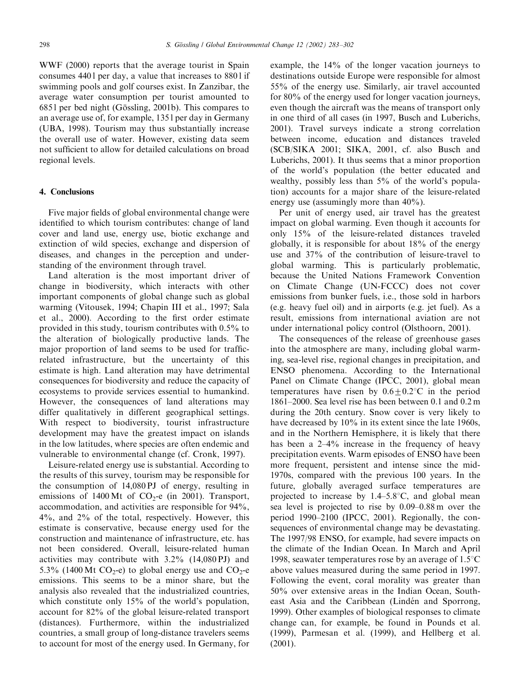WWF (2000) reports that the average tourist in Spain consumes 440 l per day, a value that increases to 880 l if swimming pools and golf courses exist. In Zanzibar, the average water consumption per tourist amounted to 6851 per bed night (Gössling, 2001b). This compares to an average use of, for example, 135 l per day in Germany (UBA, 1998). Tourism may thus substantially increase the overall use of water. However, existing data seem not sufficient to allow for detailed calculations on broad regional levels.

#### 4. Conclusions

Five major fields of global environmental change were identified to which tourism contributes: change of land cover and land use, energy use, biotic exchange and extinction of wild species, exchange and dispersion of diseases, and changes in the perception and understanding of the environment through travel.

Land alteration is the most important driver of change in biodiversity, which interacts with other important components of global change such as global warming (Vitousek, 1994; Chapin III et al., 1997; Sala et al., 2000). According to the first order estimate provided in this study, tourism contributes with 0.5% to the alteration of biologically productive lands. The major proportion of land seems to be used for trafficrelated infrastructure, but the uncertainty of this estimate is high. Land alteration may have detrimental consequences for biodiversity and reduce the capacity of ecosystems to provide services essential to humankind. However, the consequences of land alterations may differ qualitatively in different geographical settings. With respect to biodiversity, tourist infrastructure development may have the greatest impact on islands in the low latitudes, where species are often endemic and vulnerable to environmental change (cf. Cronk, 1997).

Leisure-related energy use is substantial. According to the results of this survey, tourism may be responsible for the consumption of 14,080 PJ of energy, resulting in emissions of 1400 Mt of  $CO<sub>2</sub>$ -e (in 2001). Transport, accommodation, and activities are responsible for 94%, 4%, and 2% of the total, respectively. However, this estimate is conservative, because energy used for the construction and maintenance of infrastructure, etc. has not been considered. Overall, leisure-related human activities may contribute with 3.2% (14,080 PJ) and 5.3% (1400 Mt CO<sub>2</sub>-e) to global energy use and CO<sub>2</sub>-e emissions. This seems to be a minor share, but the analysis also revealed that the industrialized countries, which constitute only 15% of the world's population, account for 82% of the global leisure-related transport (distances). Furthermore, within the industrialized countries, a small group of long-distance travelers seems to account for most of the energy used. In Germany, for

example, the 14% of the longer vacation journeys to destinations outside Europe were responsible for almost 55% of the energy use. Similarly, air travel accounted for 80% of the energy used for longer vacation journeys, even though the aircraft was the means of transport only in one third of all cases (in 1997, Busch and Luberichs, 2001). Travel surveys indicate a strong correlation between income, education and distances traveled (SCB/SIKA 2001; SIKA, 2001, cf. also Busch and Luberichs, 2001). It thus seems that a minor proportion of the world's population (the better educated and wealthy, possibly less than  $5\%$  of the world's population) accounts for a major share of the leisure-related energy use (assumingly more than  $40\%$ ).

Per unit of energy used, air travel has the greatest impact on global warming. Even though it accounts for only 15% of the leisure-related distances traveled globally, it is responsible for about 18% of the energy use and 37% of the contribution of leisure-travel to global warming. This is particularly problematic, because the United Nations Framework Convention on Climate Change (UN-FCCC) does not cover emissions from bunker fuels, i.e., those sold in harbors (e.g. heavy fuel oil) and in airports (e.g. jet fuel). As a result, emissions from international aviation are not under international policy control (Olsthoorn, 2001).

The consequences of the release of greenhouse gases into the atmosphere are many, including global warming, sea-level rise, regional changes in precipitation, and ENSO phenomena. According to the International Panel on Climate Change (IPCC, 2001), global mean temperatures have risen by  $0.6 \pm 0.2$ °C in the period 1861–2000. Sea level rise has been between 0.1 and 0.2 m during the 20th century. Snow cover is very likely to have decreased by 10% in its extent since the late 1960s, and in the Northern Hemisphere, it is likely that there has been a 2–4% increase in the frequency of heavy precipitation events. Warm episodes of ENSO have been more frequent, persistent and intense since the mid-1970s, compared with the previous 100 years. In the future, globally averaged surface temperatures are projected to increase by  $1.4-5.8^{\circ}$ C, and global mean sea level is projected to rise by 0.09–0.88 m over the period 1990–2100 (IPCC, 2001). Regionally, the consequences of environmental change may be devastating. The 1997/98 ENSO, for example, had severe impacts on the climate of the Indian Ocean. In March and April 1998, seawater temperatures rose by an average of  $1.5^{\circ}$ C above values measured during the same period in 1997. Following the event, coral morality was greater than 50% over extensive areas in the Indian Ocean, Southeast Asia and the Caribbean (Lindén and Sporrong, 1999). Other examples of biological responses to climate change can, for example, be found in Pounds et al. (1999), Parmesan et al. (1999), and Hellberg et al. (2001).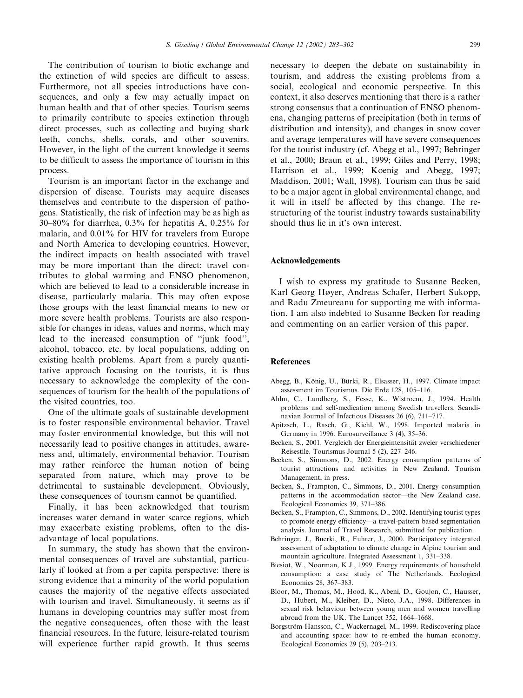The contribution of tourism to biotic exchange and the extinction of wild species are difficult to assess. Furthermore, not all species introductions have consequences, and only a few may actually impact on human health and that of other species. Tourism seems to primarily contribute to species extinction through direct processes, such as collecting and buying shark teeth, conchs, shells, corals, and other souvenirs. However, in the light of the current knowledge it seems to be difficult to assess the importance of tourism in this process.

Tourism is an important factor in the exchange and dispersion of disease. Tourists may acquire diseases themselves and contribute to the dispersion of pathogens. Statistically, the risk of infection may be as high as 30–80% for diarrhea, 0.3% for hepatitis A, 0.25% for malaria, and 0.01% for HIV for travelers from Europe and North America to developing countries. However, the indirect impacts on health associated with travel may be more important than the direct: travel contributes to global warming and ENSO phenomenon, which are believed to lead to a considerable increase in disease, particularly malaria. This may often expose those groups with the least financial means to new or more severe health problems. Tourists are also responsible for changes in ideas, values and norms, which may lead to the increased consumption of ''junk food'', alcohol, tobacco, etc. by local populations, adding on existing health problems. Apart from a purely quantitative approach focusing on the tourists, it is thus necessary to acknowledge the complexity of the consequences of tourism for the health of the populations of the visited countries, too.

One of the ultimate goals of sustainable development is to foster responsible environmental behavior. Travel may foster environmental knowledge, but this will not necessarily lead to positive changes in attitudes, awareness and, ultimately, environmental behavior. Tourism may rather reinforce the human notion of being separated from nature, which may prove to be detrimental to sustainable development. Obviously, these consequences of tourism cannot be quantified.

Finally, it has been acknowledged that tourism increases water demand in water scarce regions, which may exacerbate existing problems, often to the disadvantage of local populations.

In summary, the study has shown that the environmental consequences of travel are substantial, particularly if looked at from a per capita perspective: there is strong evidence that a minority of the world population causes the majority of the negative effects associated with tourism and travel. Simultaneously, it seems as if humans in developing countries may suffer most from the negative consequences, often those with the least financial resources. In the future, leisure-related tourism will experience further rapid growth. It thus seems necessary to deepen the debate on sustainability in tourism, and address the existing problems from a social, ecological and economic perspective. In this context, it also deserves mentioning that there is a rather strong consensus that a continuation of ENSO phenomena, changing patterns of precipitation (both in terms of distribution and intensity), and changes in snow cover and average temperatures will have severe consequences for the tourist industry (cf. Abegg et al., 1997; Behringer et al., 2000; Braun et al., 1999; Giles and Perry, 1998; Harrison et al., 1999; Koenig and Abegg, 1997; Maddison, 2001; Wall, 1998). Tourism can thus be said to be a major agent in global environmental change, and it will in itself be affected by this change. The restructuring of the tourist industry towards sustainability should thus lie in it's own interest.

## Acknowledgements

Iwish to express my gratitude to Susanne Becken, Karl Georg Høyer, Andreas Schafer, Herbert Sukopp, and Radu Zmeureanu for supporting me with information. Iam also indebted to Susanne Becken for reading and commenting on an earlier version of this paper.

#### References

- Abegg, B., König, U., Bürki, R., Elsasser, H., 1997. Climate impact assessment im Tourismus. Die Erde 128, 105–116.
- Ahlm, C., Lundberg, S., Fesse, K., Wistroem, J., 1994. Health problems and self-medication among Swedish travellers. Scandinavian Journal of Infectious Diseases 26 (6), 711–717.
- Apitzsch, L., Rasch, G., Kiehl, W., 1998. Imported malaria in Germany in 1996. Eurosurveillance 3 (4), 35–36.
- Becken, S., 2001. Vergleich der Energieintensität zweier verschiedener Reisestile. Tourismus Journal 5 (2), 227–246.
- Becken, S., Simmons, D., 2002. Energy consumption patterns of tourist attractions and activities in New Zealand. Tourism Management, in press.
- Becken, S., Frampton, C., Simmons, D., 2001. Energy consumption patterns in the accommodation sector—the New Zealand case. Ecological Economics 39, 371–386.
- Becken, S., Frampton, C., Simmons, D., 2002. Identifying tourist types to promote energy efficiency—a travel-pattern based segmentation analysis. Journal of Travel Research, submitted for publication.
- Behringer, J., Buerki, R., Fuhrer, J., 2000. Participatory integrated assessment of adaptation to climate change in Alpine tourism and mountain agriculture. Integrated Assessment 1, 331–338.
- Biesiot, W., Noorman, K.J., 1999. Energy requirements of household consumption: a case study of The Netherlands. Ecological Economics 28, 367–383.
- Bloor, M., Thomas, M., Hood, K., Abeni, D., Goujon, C., Hausser, D., Hubert, M., Kleiber, D., Nieto, J.A., 1998. Differences in sexual risk behaviour between young men and women travelling abroad from the UK. The Lancet 352, 1664–1668.
- Borgström-Hansson, C., Wackernagel, M., 1999. Rediscovering place and accounting space: how to re-embed the human economy. Ecological Economics 29 (5), 203–213.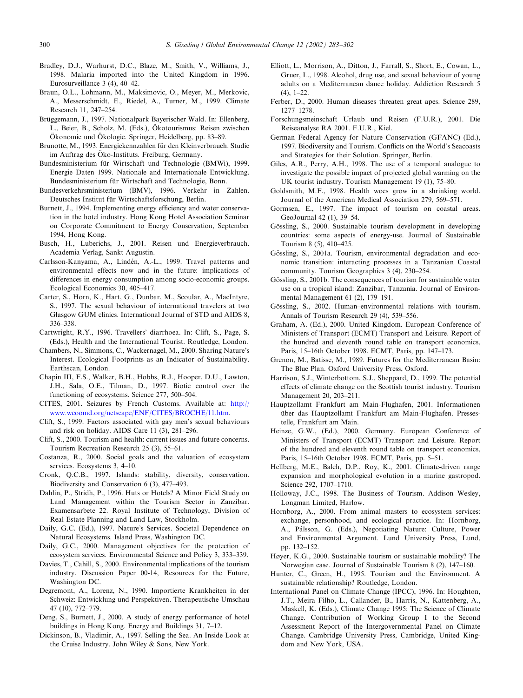- Bradley, D.J., Warhurst, D.C., Blaze, M., Smith, V., Williams, J., 1998. Malaria imported into the United Kingdom in 1996. Eurosurveillance 3 (4), 40–42.
- Braun, O.L., Lohmann, M., Maksimovic, O., Meyer, M., Merkovic, A., Messerschmidt, E., Riedel, A., Turner, M., 1999. Climate Research 11, 247–254.
- Brüggemann, J., 1997. Nationalpark Bayerischer Wald. In: Ellenberg, L., Beier, B., Scholz, M. (Eds.), Ökotourismus: Reisen zwischen Ökonomie und Ökologie. Springer, Heidelberg, pp. 83-89.
- Brunotte, M., 1993. Energiekennzahlen für den Kleinverbrauch. Studie im Auftrag des Öko-Instituts. Freiburg, Germany.
- Bundesministerium für Wirtschaft und Technologie (BMWi), 1999. Energie Daten 1999. Nationale and Internationale Entwicklung. Bundesministerium für Wirtschaft and Technologie, Bonn.
- Bundesverkehrsministerium (BMV), 1996. Verkehr in Zahlen. Deutsches Institut für Wirtschaftsforschung, Berlin.
- Burnett, J., 1994. Implementing energy efficiency and water conservation in the hotel industry. Hong Kong Hotel Association Seminar on Corporate Commitment to Energy Conservation, September 1994, Hong Kong.
- Busch, H., Luberichs, J., 2001. Reisen und Energieverbrauch. Academia Verlag, Sankt Augustin.
- Carlsson-Kanyama, A., Lindén, A.-L., 1999. Travel patterns and environmental effects now and in the future: implications of differences in energy consumption among socio-economic groups. Ecological Economics 30, 405–417.
- Carter, S., Horn, K., Hart, G., Dunbar, M., Scoular, A., MacIntyre, S., 1997. The sexual behaviour of international travelers at two Glasgow GUM clinics. International Journal of STD and AIDS 8, 336–338.
- Cartwright, R.Y., 1996. Travellers' diarrhoea. In: Clift, S., Page, S. (Eds.), Health and the International Tourist. Routledge, London.
- Chambers, N., Simmons, C., Wackernagel, M., 2000. Sharing Nature's Interest. Ecological Footprints as an Indicator of Sustainability. Earthscan, London.
- Chapin III, F.S., Walker, B.H., Hobbs, R.J., Hooper, D.U., Lawton, J.H., Sala, O.E., Tilman, D., 1997. Biotic control over the functioning of ecosystems. Science 277, 500–504.
- CITES, 2001. Seizures by French Customs. Available at: [http://](http://www.wcoomd.org/netscape/ENF/CITES/BROCHE/11.htm) [www.wcoomd.org/netscape/ENF/CITES/BROCHE/11.htm](http://www.wcoomd.org/netscape/ENF/CITES/BROCHE/11.htm).
- Clift, S., 1999. Factors associated with gay men's sexual behaviours and risk on holiday. AIDS Care 11 (3), 281–296.
- Clift, S., 2000. Tourism and health: current issues and future concerns. Tourism Recreation Research 25 (3), 55–61.
- Costanza, R., 2000. Social goals and the valuation of ecosystem services. Ecosystems 3, 4–10.
- Cronk, Q.C.B., 1997. Islands: stability, diversity, conservation. Biodiversity and Conservation 6 (3), 477–493.
- Dahlin, P., Stridh, P., 1996. Huts or Hotels? A Minor Field Study on Land Management within the Tourism Sector in Zanzibar. Examensarbete 22. Royal Institute of Technology, Division of Real Estate Planning and Land Law, Stockholm.
- Daily, G.C. (Ed.), 1997. Nature's Services. Societal Dependence on Natural Ecosystems. Island Press, Washington DC.
- Daily, G.C., 2000. Management objectives for the protection of ecosystem services. Environmental Science and Policy 3, 333–339.
- Davies, T., Cahill, S., 2000. Environmental implications of the tourism industry. Discussion Paper 00-14, Resources for the Future, Washington DC.
- Degremont, A., Lorenz, N., 1990. Importierte Krankheiten in der Schweiz: Entwicklung und Perspektiven. Therapeutische Umschau 47 (10), 772–779.
- Deng, S., Burnett, J., 2000. A study of energy performance of hotel buildings in Hong Kong. Energy and Buildings 31, 7–12.
- Dickinson, B., Vladimir, A., 1997. Selling the Sea. An Inside Look at the Cruise Industry. John Wiley & Sons, New York.
- Elliott, L., Morrison, A., Ditton, J., Farrall, S., Short, E., Cowan, L., Gruer, L., 1998. Alcohol, drug use, and sexual behaviour of young adults on a Mediterranean dance holiday. Addiction Research 5  $(4)$ , 1–22.
- Ferber, D., 2000. Human diseases threaten great apes. Science 289, 1277–1278.
- Forschungsmeinschaft Urlaub und Reisen (F.U.R.), 2001. Die Reiseanalyse RA 2001. F.U.R., Kiel.
- German Federal Agency for Nature Conservation (GFANC) (Ed.), 1997. Biodiversity and Tourism. Conflicts on the World's Seacoasts and Strategies for their Solution. Springer, Berlin.
- Giles, A.R., Perry, A.H., 1998. The use of a temporal analogue to investigate the possible impact of projected global warming on the UK tourist industry. Tourism Management 19 (1), 75–80.
- Goldsmith, M.F., 1998. Health woes grow in a shrinking world. Journal of the American Medical Association 279, 569–571.
- Gormsen, E., 1997. The impact of tourism on coastal areas. GeoJournal 42 (1), 39–54.
- Gössling, S., 2000. Sustainable tourism development in developing countries: some aspects of energy-use. Journal of Sustainable Tourism 8 (5), 410–425.
- Gössling, S., 2001a. Tourism, environmental degradation and economic transition: interacting processes in a Tanzanian Coastal community. Tourism Geographies 3 (4), 230–254.
- Gössling, S., 2001b. The consequences of tourism for sustainable water use on a tropical island: Zanzibar, Tanzania. Journal of Environmental Management 61 (2), 179–191.
- Gössling, S., 2002. Human–environmental relations with tourism. Annals of Tourism Research 29 (4), 539–556.
- Graham, A. (Ed.), 2000. United Kingdom. European Conference of Ministers of Transport (ECMT) Transport and Leisure. Report of the hundred and eleventh round table on transport economics, Paris, 15–16th October 1998. ECMT, Paris, pp. 147–173.
- Grenon, M., Batisse, M., 1989. Futures for the Mediterranean Basin: The Blue Plan. Oxford University Press, Oxford.
- Harrison, S.J., Winterbottom, S.J., Sheppard, D., 1999. The potential effects of climate change on the Scottish tourist industry. Tourism Management 20, 203–211.
- Hauptzollamt Frankfurt am Main-Flughafen, 2001. Informationen über das Hauptzollamt Frankfurt am Main-Flughafen. Pressestelle, Frankfurt am Main.
- Heinze, G.W., (Ed.), 2000. Germany. European Conference of Ministers of Transport (ECMT) Transport and Leisure. Report of the hundred and eleventh round table on transport economics, Paris, 15–16th October 1998. ECMT, Paris, pp. 5–51.
- Hellberg, M.E., Balch, D.P., Roy, K., 2001. Climate-driven range expansion and morphological evolution in a marine gastropod. Science 292, 1707–1710.
- Holloway, J.C., 1998. The Business of Tourism. Addison Wesley, Longman Limited, Harlow.
- Hornborg, A., 2000. From animal masters to ecosystem services: exchange, personhood, and ecological practice. In: Hornborg, A., Pálsson, G. (Eds.), Negotiating Nature: Culture, Power and Environmental Argument. Lund University Press, Lund, pp. 132–152.
- Høyer, K.G., 2000. Sustainable tourism or sustainable mobility? The Norwegian case. Journal of Sustainable Tourism 8 (2), 147–160.
- Hunter, C., Green, H., 1995. Tourism and the Environment. A sustainable relationship? Routledge, London.
- International Panel on Climate Change (IPCC), 1996. In: Houghton, J.T., Meira Filho, L., Callander, B., Harris, N., Kattenberg, A., Maskell, K. (Eds.), Climate Change 1995: The Science of Climate Change. Contribution of Working Group I to the Second Assessment Report of the Intergovernmental Panel on Climate Change. Cambridge University Press, Cambridge, United Kingdom and New York, USA.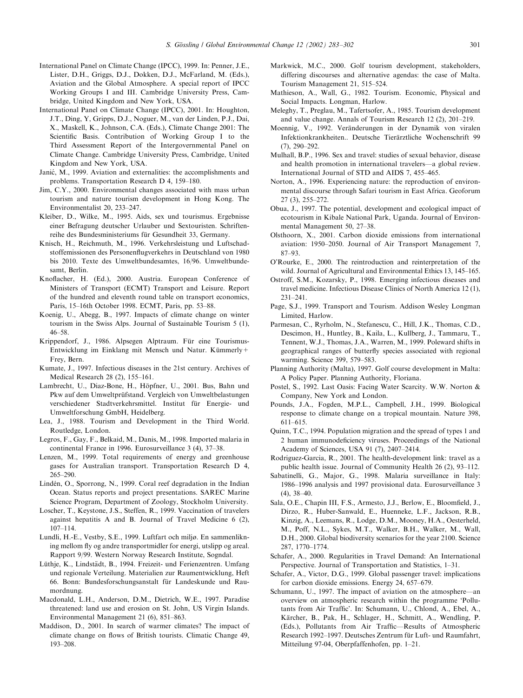- International Panel on Climate Change (IPCC), 1999. In: Penner, J.E., Lister, D.H., Griggs, D.J., Dokken, D.J., McFarland, M. (Eds.), Aviation and the Global Atmosphere. A special report of IPCC Working Groups I and III. Cambridge University Press, Cambridge, United Kingdom and New York, USA.
- International Panel on Climate Change (IPCC), 2001. In: Houghton, J.T., Ding, Y, Gripps, D.J., Noguer, M., van der Linden, P.J., Dai, X., Maskell, K., Johnson, C.A. (Eds.), Climate Change 2001: The Scientific Basis. Contribution of Working Group I to the Third Assessment Report of the Intergovernmental Panel on Climate Change. Cambridge University Press, Cambridge, United Kingdom and New York, USA.
- Janić, M., 1999. Aviation and externalities: the accomplishments and problems. Transportation Research D 4, 159–180.
- Jim, C.Y., 2000. Environmental changes associated with mass urban tourism and nature tourism development in Hong Kong. The Environmentalist 20, 233–247.
- Kleiber, D., Wilke, M., 1995. Aids, sex und tourismus. Ergebnisse einer Befragung deutscher Urlauber und Sextouristen. Schriftenreihe des Bundesministeriums für Gesundheit 33, Germany.
- Knisch, H., Reichmuth, M., 1996. Verkehrsleistung und Luftschadstoffemissionen des Personenflugverkehrs in Deutschland von 1980 bis 2010. Texte des Umweltbundesamtes, 16/96. Umweltbundesamt, Berlin.
- Knoflacher, H. (Ed.), 2000. Austria. European Conference of Ministers of Transport (ECMT) Transport and Leisure. Report of the hundred and eleventh round table on transport economics, Paris, 15–16th October 1998. ECMT, Paris, pp. 53–88.
- Koenig, U., Abegg, B., 1997. Impacts of climate change on winter tourism in the Swiss Alps. Journal of Sustainable Tourism 5 (1), 46–58.
- Krippendorf, J., 1986. Alpsegen Alptraum. Für eine Tourismus-Entwicklung im Einklang mit Mensch und Natur. Kümmerly+ Frey, Bern.
- Kumate, J., 1997. Infectious diseases in the 21st century. Archives of Medical Research 28 (2), 155–161.
- Lambrecht, U., Diaz-Bone, H., Höpfner, U., 2001. Bus, Bahn und Pkw auf dem Umweltprüfstand. Vergleich von Umweltbelastungen verschiedener Stadtverkehrsmittel. Institut für Energie- und Umweltforschung GmbH, Heidelberg.
- Lea, J., 1988. Tourism and Development in the Third World. Routledge, London.
- Legros, F., Gay, F., Belkaid, M., Danis, M., 1998. Imported malaria in continental France in 1996. Eurosurveillance 3 (4), 37–38.
- Lenzen, M., 1999. Total requirements of energy and greenhouse gases for Australian transport. Transportation Research D 4, 265–290.
- Lindén, O., Sporrong, N., 1999. Coral reef degradation in the Indian Ocean. Status reports and project presentations. SAREC Marine Science Program, Department of Zoology, Stockholm University.
- Loscher, T., Keystone, J.S., Steffen, R., 1999. Vaccination of travelers against hepatitis A and B. Journal of Travel Medicine 6 (2), 107–114.
- Lundli, H.-E., Vestby, S.E., 1999. Luftfart och miljø. En sammenlikning mellom fly og andre transportmidler for energi, utslipp og areal. Rapport 9/99. Western Norway Research Institute, Sogndal.
- Lüthje, K., Lindstädt, B., 1994. Freizeit- und Ferienzentren. Umfang und regionale Verteilung. Materialien zur Raumentwicklung, Heft 66. Bonn: Bundesforschungsanstalt für Landeskunde und Raumordnung.
- Macdonald, L.H., Anderson, D.M., Dietrich, W.E., 1997. Paradise threatened: land use and erosion on St. John, US Virgin Islands. Environmental Management 21 (6), 851–863.
- Maddison, D., 2001. In search of warmer climates? The impact of climate change on flows of British tourists. Climatic Change 49, 193–208.
- Markwick, M.C., 2000. Golf tourism development, stakeholders, differing discourses and alternative agendas: the case of Malta. Tourism Management 21, 515–524.
- Mathieson, A., Wall, G., 1982. Tourism. Economic, Physical and Social Impacts. Longman, Harlow.
- Meleghy, T., Preglau, M., Tafertsofer, A., 1985. Tourism development and value change. Annals of Tourism Research 12 (2), 201–219.
- Moennig, V., 1992. Veränderungen in der Dynamik von viralen Infektionkrankheiten.. Deutsche Tierarztliche Wochenschrift 99 . (7), 290–292.
- Mulhall, B.P., 1996. Sex and travel: studies of sexual behavior, disease and health promotion in international travelers—a global review. International Journal of STD and AIDS 7, 455–465.
- Norton, A., 1996. Experiencing nature: the reproduction of environmental discourse through Safari tourism in East Africa. Geoforum 27 (3), 255–272.
- Obua, J., 1997. The potential, development and ecological impact of ecotourism in Kibale National Park, Uganda. Journal of Environmental Management 50, 27–38.
- Olsthoorn, X., 2001. Carbon dioxide emissions from international aviation: 1950–2050. Journal of Air Transport Management 7, 87–93.
- O'Rourke, E., 2000. The reintroduction and reinterpretation of the wild. Journal of Agricultural and Environmental Ethics 13, 145–165.
- Ostroff, S.M., Kozarsky, P., 1998. Emerging infectious diseases and travel medicine. Infectious Disease Clinics of North America 12 (1), 231–241.
- Page, S.J., 1999. Transport and Tourism. Addison Wesley Longman Limited, Harlow.
- Parmesan, C., Ryrholm, N., Stefanescu, C., Hill, J.K., Thomas, C.D., Descimon, H., Huntley, B., Kaila, L., Kullberg, J., Tammaru, T., Tennent, W.J., Thomas, J.A., Warren, M., 1999. Poleward shifts in geographical ranges of butterfly species associated with regional warming. Science 399, 579–583.
- Planning Authority (Malta), 1997. Golf course development in Malta: A Policy Paper. Planning Authority, Floriana.
- Postel, S., 1992. Last Oasis: Facing Water Scarcity. W.W. Norton & Company, New York and London.
- Pounds, J.A., Fogden, M.P.L., Campbell, J.H., 1999. Biological response to climate change on a tropical mountain. Nature 398, 611–615.
- Quinn, T.C., 1994. Population migration and the spread of types 1 and 2 human immunodeficiency viruses. Proceedings of the National Academy of Sciences, USA 91 (7), 2407–2414.
- Rodriguez-Garcia, R., 2001. The health-development link: travel as a public health issue. Journal of Community Health 26 (2), 93–112.
- Sabatinelli, G., Major, G., 1998. Malaria surveillance in Italy: 1986–1996 analysis and 1997 provisional data. Eurosurveillance 3  $(4)$ , 38–40.
- Sala, O.E., Chapin III, F.S., Armesto, J.J., Berlow, E., Bloomfield, J., Dirzo, R., Huber-Sanwald, E., Huenneke, L.F., Jackson, R.B., Kinzig, A., Leemans, R., Lodge, D.M., Mooney, H.A., Oesterheld, M., Poff, N.L., Sykes, M.T., Walker, B.H., Walker, M., Wall, D.H., 2000. Global biodiversity scenarios for the year 2100. Science 287, 1770–1774.
- Schafer, A., 2000. Regularities in Travel Demand: An International Perspective. Journal of Transportation and Statistics, 1–31.
- Schafer, A., Victor, D.G., 1999. Global passenger travel: implications for carbon dioxide emissions. Energy 24, 657–679.
- Schumann, U., 1997. The impact of aviation on the atmosphere—an overview on atmospheric research within the programme 'Pollutants from Air Traffic'. In: Schumann, U., Chlond, A., Ebel, A., Kärcher, B., Pak, H., Schlager, H., Schmitt, A., Wendling, P. (Eds.), Pollutants from Air Traffic—Results of Atmospheric Research 1992–1997. Deutsches Zentrum für Luft- und Raumfahrt, Mitteilung 97-04, Oberpfaffenhofen, pp. 1–21.